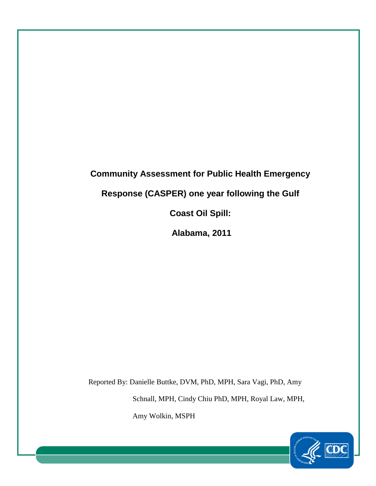# **Community Assessment for Public Health Emergency Response (CASPER) one year following the Gulf Coast Oil Spill: Alabama, 2011**

Reported By: Danielle Buttke, DVM, PhD, MPH, Sara Vagi, PhD, Amy Schnall, MPH, Cindy Chiu PhD, MPH, Royal Law, MPH, Amy Wolkin, MSPH

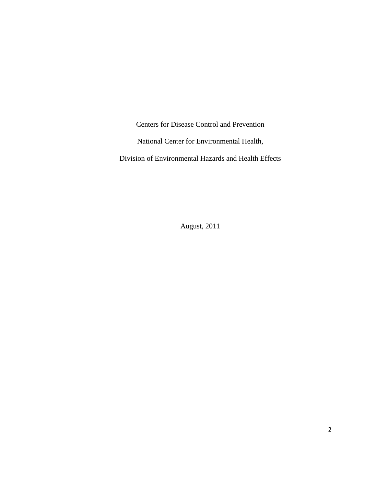Centers for Disease Control and Prevention National Center for Environmental Health,

Division of Environmental Hazards and Health Effects

August, 2011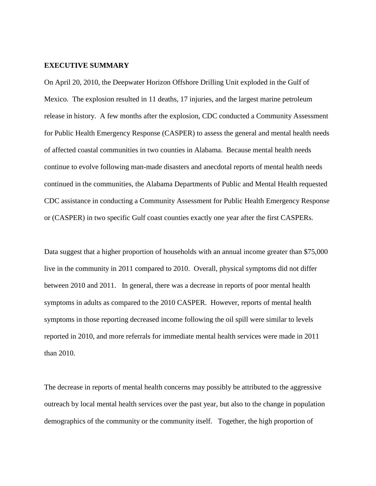#### **EXECUTIVE SUMMARY**

On April 20, 2010, the Deepwater Horizon Offshore Drilling Unit exploded in the Gulf of Mexico. The explosion resulted in 11 deaths, 17 injuries, and the largest marine petroleum release in history. A few months after the explosion, CDC conducted a Community Assessment for Public Health Emergency Response (CASPER) to assess the general and mental health needs of affected coastal communities in two counties in Alabama. Because mental health needs continue to evolve following man-made disasters and anecdotal reports of mental health needs continued in the communities, the Alabama Departments of Public and Mental Health requested CDC assistance in conducting a Community Assessment for Public Health Emergency Response or (CASPER) in two specific Gulf coast counties exactly one year after the first CASPERs.

Data suggest that a higher proportion of households with an annual income greater than \$75,000 live in the community in 2011 compared to 2010. Overall, physical symptoms did not differ between 2010 and 2011. In general, there was a decrease in reports of poor mental health symptoms in adults as compared to the 2010 CASPER. However, reports of mental health symptoms in those reporting decreased income following the oil spill were similar to levels reported in 2010, and more referrals for immediate mental health services were made in 2011 than 2010.

The decrease in reports of mental health concerns may possibly be attributed to the aggressive outreach by local mental health services over the past year, but also to the change in population demographics of the community or the community itself. Together, the high proportion of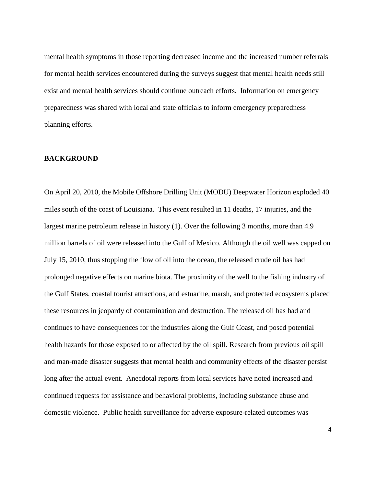mental health symptoms in those reporting decreased income and the increased number referrals for mental health services encountered during the surveys suggest that mental health needs still exist and mental health services should continue outreach efforts. Information on emergency preparedness was shared with local and state officials to inform emergency preparedness planning efforts.

#### **BACKGROUND**

On April 20, 2010, the Mobile Offshore Drilling Unit (MODU) Deepwater Horizon exploded 40 miles south of the coast of Louisiana. This event resulted in 11 deaths, 17 injuries, and the largest marine petroleum release in history (1). Over the following 3 months, more than 4.9 million barrels of oil were released into the Gulf of Mexico. Although the oil well was capped on July 15, 2010, thus stopping the flow of oil into the ocean, the released crude oil has had prolonged negative effects on marine biota. The proximity of the well to the fishing industry of the Gulf States, coastal tourist attractions, and estuarine, marsh, and protected ecosystems placed these resources in jeopardy of contamination and destruction. The released oil has had and continues to have consequences for the industries along the Gulf Coast, and posed potential health hazards for those exposed to or affected by the oil spill. Research from previous oil spill and man-made disaster suggests that mental health and community effects of the disaster persist long after the actual event. Anecdotal reports from local services have noted increased and continued requests for assistance and behavioral problems, including substance abuse and domestic violence. Public health surveillance for adverse exposure-related outcomes was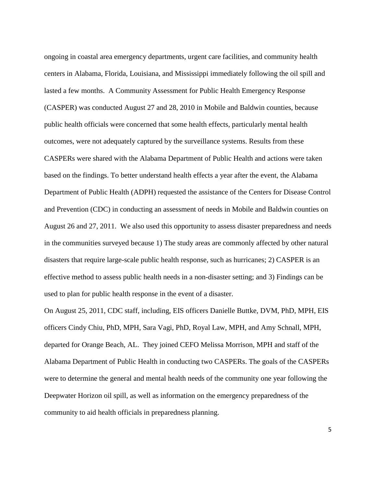ongoing in coastal area emergency departments, urgent care facilities, and community health centers in Alabama, Florida, Louisiana, and Mississippi immediately following the oil spill and lasted a few months. A Community Assessment for Public Health Emergency Response (CASPER) was conducted August 27 and 28, 2010 in Mobile and Baldwin counties, because public health officials were concerned that some health effects, particularly mental health outcomes, were not adequately captured by the surveillance systems. Results from these CASPERs were shared with the Alabama Department of Public Health and actions were taken based on the findings. To better understand health effects a year after the event, the Alabama Department of Public Health (ADPH) requested the assistance of the Centers for Disease Control and Prevention (CDC) in conducting an assessment of needs in Mobile and Baldwin counties on August 26 and 27, 2011. We also used this opportunity to assess disaster preparedness and needs in the communities surveyed because 1) The study areas are commonly affected by other natural disasters that require large-scale public health response, such as hurricanes; 2) CASPER is an effective method to assess public health needs in a non-disaster setting; and 3) Findings can be used to plan for public health response in the event of a disaster.

On August 25, 2011, CDC staff, including, EIS officers Danielle Buttke, DVM, PhD, MPH, EIS officers Cindy Chiu, PhD, MPH, Sara Vagi, PhD, Royal Law, MPH, and Amy Schnall, MPH, departed for Orange Beach, AL. They joined CEFO Melissa Morrison, MPH and staff of the Alabama Department of Public Health in conducting two CASPERs. The goals of the CASPERs were to determine the general and mental health needs of the community one year following the Deepwater Horizon oil spill, as well as information on the emergency preparedness of the community to aid health officials in preparedness planning.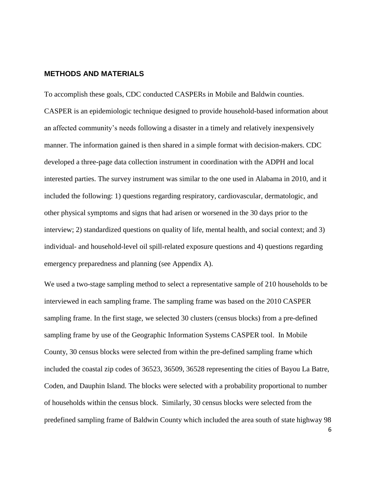#### **METHODS AND MATERIALS**

To accomplish these goals, CDC conducted CASPERs in Mobile and Baldwin counties. CASPER is an epidemiologic technique designed to provide household-based information about an affected community's needs following a disaster in a timely and relatively inexpensively manner. The information gained is then shared in a simple format with decision-makers. CDC developed a three-page data collection instrument in coordination with the ADPH and local interested parties. The survey instrument was similar to the one used in Alabama in 2010, and it included the following: 1) questions regarding respiratory, cardiovascular, dermatologic, and other physical symptoms and signs that had arisen or worsened in the 30 days prior to the interview; 2) standardized questions on quality of life, mental health, and social context; and 3) individual- and household-level oil spill-related exposure questions and 4) questions regarding emergency preparedness and planning (see Appendix A).

We used a two-stage sampling method to select a representative sample of 210 households to be interviewed in each sampling frame. The sampling frame was based on the 2010 CASPER sampling frame. In the first stage, we selected 30 clusters (census blocks) from a pre-defined sampling frame by use of the Geographic Information Systems CASPER tool. In Mobile County, 30 census blocks were selected from within the pre-defined sampling frame which included the coastal zip codes of 36523, 36509, 36528 representing the cities of Bayou La Batre, Coden, and Dauphin Island. The blocks were selected with a probability proportional to number of households within the census block. Similarly, 30 census blocks were selected from the predefined sampling frame of Baldwin County which included the area south of state highway 98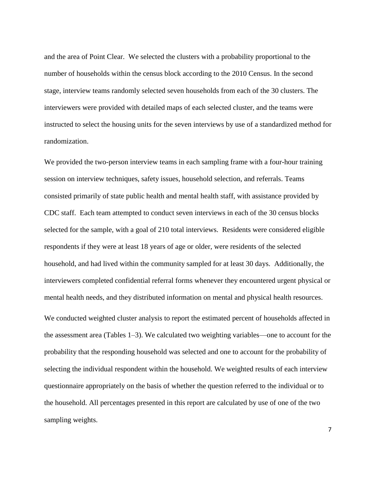and the area of Point Clear. We selected the clusters with a probability proportional to the number of households within the census block according to the 2010 Census. In the second stage, interview teams randomly selected seven households from each of the 30 clusters. The interviewers were provided with detailed maps of each selected cluster, and the teams were instructed to select the housing units for the seven interviews by use of a standardized method for randomization.

We provided the two-person interview teams in each sampling frame with a four-hour training session on interview techniques, safety issues, household selection, and referrals. Teams consisted primarily of state public health and mental health staff, with assistance provided by CDC staff. Each team attempted to conduct seven interviews in each of the 30 census blocks selected for the sample, with a goal of 210 total interviews. Residents were considered eligible respondents if they were at least 18 years of age or older, were residents of the selected household, and had lived within the community sampled for at least 30 days. Additionally, the interviewers completed confidential referral forms whenever they encountered urgent physical or mental health needs, and they distributed information on mental and physical health resources.

We conducted weighted cluster analysis to report the estimated percent of households affected in the assessment area (Tables 1–3). We calculated two weighting variables—one to account for the probability that the responding household was selected and one to account for the probability of selecting the individual respondent within the household. We weighted results of each interview questionnaire appropriately on the basis of whether the question referred to the individual or to the household. All percentages presented in this report are calculated by use of one of the two sampling weights.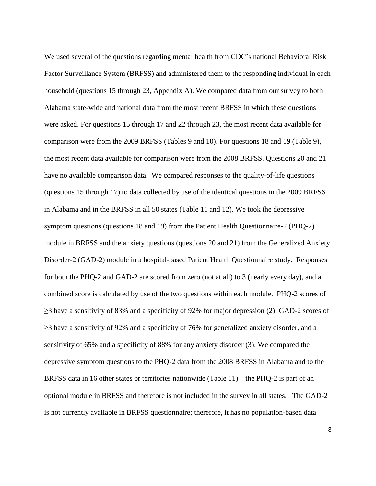We used several of the questions regarding mental health from CDC's national Behavioral Risk Factor Surveillance System (BRFSS) and administered them to the responding individual in each household (questions 15 through 23, Appendix A). We compared data from our survey to both Alabama state-wide and national data from the most recent BRFSS in which these questions were asked. For questions 15 through 17 and 22 through 23, the most recent data available for comparison were from the 2009 BRFSS (Tables 9 and 10). For questions 18 and 19 (Table 9), the most recent data available for comparison were from the 2008 BRFSS. Questions 20 and 21 have no available comparison data. We compared responses to the quality-of-life questions (questions 15 through 17) to data collected by use of the identical questions in the 2009 BRFSS in Alabama and in the BRFSS in all 50 states (Table 11 and 12). We took the depressive symptom questions (questions 18 and 19) from the Patient Health Questionnaire-2 (PHQ-2) module in BRFSS and the anxiety questions (questions 20 and 21) from the Generalized Anxiety Disorder-2 (GAD-2) module in a hospital-based Patient Health Questionnaire study. Responses for both the PHQ-2 and GAD-2 are scored from zero (not at all) to 3 (nearly every day), and a combined score is calculated by use of the two questions within each module. PHQ-2 scores of  $\geq$ 3 have a sensitivity of 83% and a specificity of 92% for major depression (2); GAD-2 scores of  $\geq$ 3 have a sensitivity of 92% and a specificity of 76% for generalized anxiety disorder, and a sensitivity of 65% and a specificity of 88% for any anxiety disorder (3). We compared the depressive symptom questions to the PHQ-2 data from the 2008 BRFSS in Alabama and to the BRFSS data in 16 other states or territories nationwide (Table 11)—the PHQ-2 is part of an optional module in BRFSS and therefore is not included in the survey in all states. The GAD-2 is not currently available in BRFSS questionnaire; therefore, it has no population-based data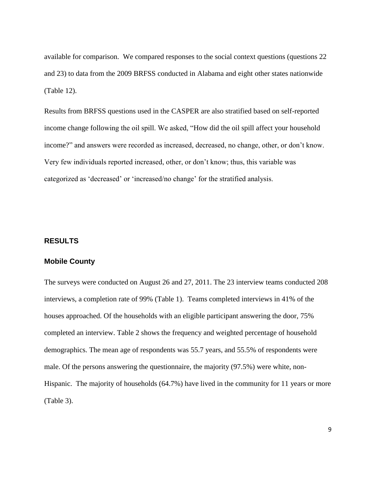available for comparison. We compared responses to the social context questions (questions 22 and 23) to data from the 2009 BRFSS conducted in Alabama and eight other states nationwide (Table 12).

Results from BRFSS questions used in the CASPER are also stratified based on self-reported income change following the oil spill. We asked, "How did the oil spill affect your household income?" and answers were recorded as increased, decreased, no change, other, or don't know. Very few individuals reported increased, other, or don't know; thus, this variable was categorized as 'decreased' or 'increased/no change' for the stratified analysis.

## **RESULTS**

### **Mobile County**

The surveys were conducted on August 26 and 27, 2011. The 23 interview teams conducted 208 interviews, a completion rate of 99% (Table 1). Teams completed interviews in 41% of the houses approached. Of the households with an eligible participant answering the door, 75% completed an interview. Table 2 shows the frequency and weighted percentage of household demographics. The mean age of respondents was 55.7 years, and 55.5% of respondents were male. Of the persons answering the questionnaire, the majority (97.5%) were white, non-Hispanic. The majority of households (64.7%) have lived in the community for 11 years or more (Table 3).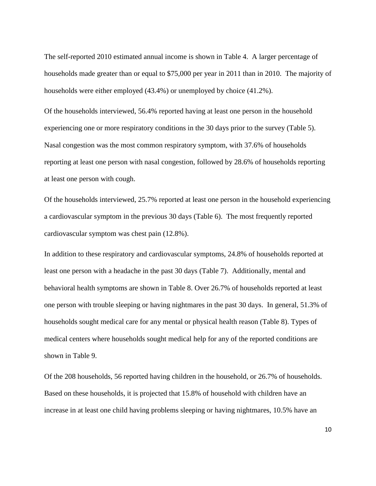The self-reported 2010 estimated annual income is shown in Table 4. A larger percentage of households made greater than or equal to \$75,000 per year in 2011 than in 2010. The majority of households were either employed (43.4%) or unemployed by choice (41.2%).

Of the households interviewed, 56.4% reported having at least one person in the household experiencing one or more respiratory conditions in the 30 days prior to the survey (Table 5). Nasal congestion was the most common respiratory symptom, with 37.6% of households reporting at least one person with nasal congestion, followed by 28.6% of households reporting at least one person with cough.

Of the households interviewed, 25.7% reported at least one person in the household experiencing a cardiovascular symptom in the previous 30 days (Table 6). The most frequently reported cardiovascular symptom was chest pain (12.8%).

In addition to these respiratory and cardiovascular symptoms, 24.8% of households reported at least one person with a headache in the past 30 days (Table 7). Additionally, mental and behavioral health symptoms are shown in Table 8. Over 26.7% of households reported at least one person with trouble sleeping or having nightmares in the past 30 days. In general, 51.3% of households sought medical care for any mental or physical health reason (Table 8). Types of medical centers where households sought medical help for any of the reported conditions are shown in Table 9.

Of the 208 households, 56 reported having children in the household, or 26.7% of households. Based on these households, it is projected that 15.8% of household with children have an increase in at least one child having problems sleeping or having nightmares, 10.5% have an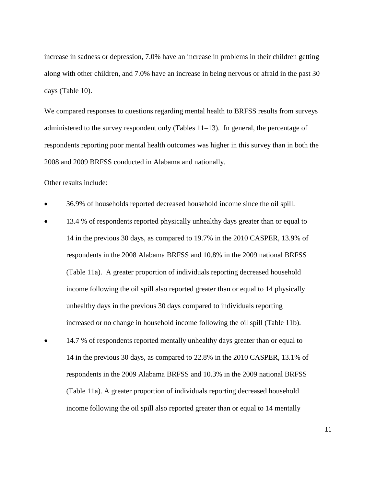increase in sadness or depression, 7.0% have an increase in problems in their children getting along with other children, and 7.0% have an increase in being nervous or afraid in the past 30 days (Table 10).

We compared responses to questions regarding mental health to BRFSS results from surveys administered to the survey respondent only (Tables  $11-13$ ). In general, the percentage of respondents reporting poor mental health outcomes was higher in this survey than in both the 2008 and 2009 BRFSS conducted in Alabama and nationally.

Other results include:

- 36.9% of households reported decreased household income since the oil spill.
- 13.4 % of respondents reported physically unhealthy days greater than or equal to 14 in the previous 30 days, as compared to 19.7% in the 2010 CASPER, 13.9% of respondents in the 2008 Alabama BRFSS and 10.8% in the 2009 national BRFSS (Table 11a). A greater proportion of individuals reporting decreased household income following the oil spill also reported greater than or equal to 14 physically unhealthy days in the previous 30 days compared to individuals reporting increased or no change in household income following the oil spill (Table 11b).
- 14.7 % of respondents reported mentally unhealthy days greater than or equal to 14 in the previous 30 days, as compared to 22.8% in the 2010 CASPER, 13.1% of respondents in the 2009 Alabama BRFSS and 10.3% in the 2009 national BRFSS (Table 11a). A greater proportion of individuals reporting decreased household income following the oil spill also reported greater than or equal to 14 mentally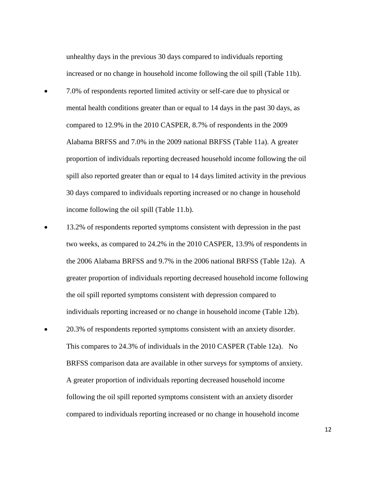unhealthy days in the previous 30 days compared to individuals reporting increased or no change in household income following the oil spill (Table 11b).

- 7.0% of respondents reported limited activity or self-care due to physical or mental health conditions greater than or equal to 14 days in the past 30 days, as compared to 12.9% in the 2010 CASPER, 8.7% of respondents in the 2009 Alabama BRFSS and 7.0% in the 2009 national BRFSS (Table 11a). A greater proportion of individuals reporting decreased household income following the oil spill also reported greater than or equal to 14 days limited activity in the previous 30 days compared to individuals reporting increased or no change in household income following the oil spill (Table 11.b).
- 13.2% of respondents reported symptoms consistent with depression in the past two weeks, as compared to 24.2% in the 2010 CASPER, 13.9% of respondents in the 2006 Alabama BRFSS and 9.7% in the 2006 national BRFSS (Table 12a). A greater proportion of individuals reporting decreased household income following the oil spill reported symptoms consistent with depression compared to individuals reporting increased or no change in household income (Table 12b).
- 20.3% of respondents reported symptoms consistent with an anxiety disorder. This compares to 24.3% of individuals in the 2010 CASPER (Table 12a). No BRFSS comparison data are available in other surveys for symptoms of anxiety. A greater proportion of individuals reporting decreased household income following the oil spill reported symptoms consistent with an anxiety disorder compared to individuals reporting increased or no change in household income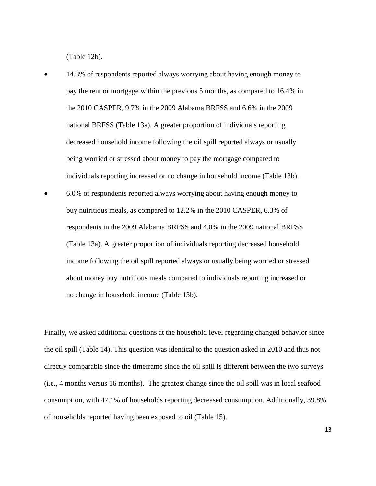(Table 12b).

 14.3% of respondents reported always worrying about having enough money to pay the rent or mortgage within the previous 5 months, as compared to 16.4% in the 2010 CASPER, 9.7% in the 2009 Alabama BRFSS and 6.6% in the 2009 national BRFSS (Table 13a). A greater proportion of individuals reporting decreased household income following the oil spill reported always or usually being worried or stressed about money to pay the mortgage compared to individuals reporting increased or no change in household income (Table 13b). 6.0% of respondents reported always worrying about having enough money to buy nutritious meals, as compared to 12.2% in the 2010 CASPER, 6.3% of respondents in the 2009 Alabama BRFSS and 4.0% in the 2009 national BRFSS (Table 13a). A greater proportion of individuals reporting decreased household

income following the oil spill reported always or usually being worried or stressed about money buy nutritious meals compared to individuals reporting increased or no change in household income (Table 13b).

Finally, we asked additional questions at the household level regarding changed behavior since the oil spill (Table 14). This question was identical to the question asked in 2010 and thus not directly comparable since the timeframe since the oil spill is different between the two surveys (i.e., 4 months versus 16 months). The greatest change since the oil spill was in local seafood consumption, with 47.1% of households reporting decreased consumption. Additionally, 39.8% of households reported having been exposed to oil (Table 15).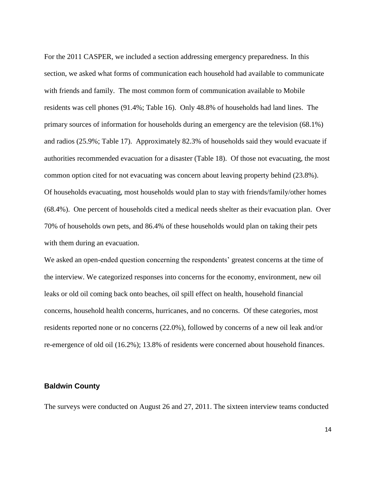For the 2011 CASPER, we included a section addressing emergency preparedness. In this section, we asked what forms of communication each household had available to communicate with friends and family. The most common form of communication available to Mobile residents was cell phones (91.4%; Table 16). Only 48.8% of households had land lines. The primary sources of information for households during an emergency are the television (68.1%) and radios (25.9%; Table 17). Approximately 82.3% of households said they would evacuate if authorities recommended evacuation for a disaster (Table 18). Of those not evacuating, the most common option cited for not evacuating was concern about leaving property behind (23.8%). Of households evacuating, most households would plan to stay with friends/family/other homes (68.4%). One percent of households cited a medical needs shelter as their evacuation plan. Over 70% of households own pets, and 86.4% of these households would plan on taking their pets with them during an evacuation.

We asked an open-ended question concerning the respondents' greatest concerns at the time of the interview. We categorized responses into concerns for the economy, environment, new oil leaks or old oil coming back onto beaches, oil spill effect on health, household financial concerns, household health concerns, hurricanes, and no concerns. Of these categories, most residents reported none or no concerns (22.0%), followed by concerns of a new oil leak and/or re-emergence of old oil (16.2%); 13.8% of residents were concerned about household finances.

#### **Baldwin County**

The surveys were conducted on August 26 and 27, 2011. The sixteen interview teams conducted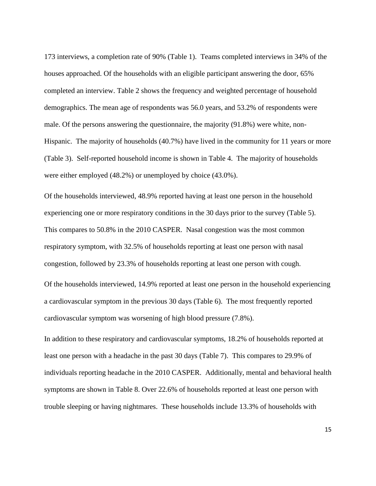173 interviews, a completion rate of 90% (Table 1). Teams completed interviews in 34% of the houses approached. Of the households with an eligible participant answering the door, 65% completed an interview. Table 2 shows the frequency and weighted percentage of household demographics. The mean age of respondents was 56.0 years, and 53.2% of respondents were male. Of the persons answering the questionnaire, the majority (91.8%) were white, non-Hispanic. The majority of households (40.7%) have lived in the community for 11 years or more (Table 3). Self-reported household income is shown in Table 4. The majority of households were either employed (48.2%) or unemployed by choice (43.0%).

Of the households interviewed, 48.9% reported having at least one person in the household experiencing one or more respiratory conditions in the 30 days prior to the survey (Table 5). This compares to 50.8% in the 2010 CASPER. Nasal congestion was the most common respiratory symptom, with 32.5% of households reporting at least one person with nasal congestion, followed by 23.3% of households reporting at least one person with cough.

Of the households interviewed, 14.9% reported at least one person in the household experiencing a cardiovascular symptom in the previous 30 days (Table 6). The most frequently reported cardiovascular symptom was worsening of high blood pressure (7.8%).

In addition to these respiratory and cardiovascular symptoms, 18.2% of households reported at least one person with a headache in the past 30 days (Table 7). This compares to 29.9% of individuals reporting headache in the 2010 CASPER. Additionally, mental and behavioral health symptoms are shown in Table 8. Over 22.6% of households reported at least one person with trouble sleeping or having nightmares. These households include 13.3% of households with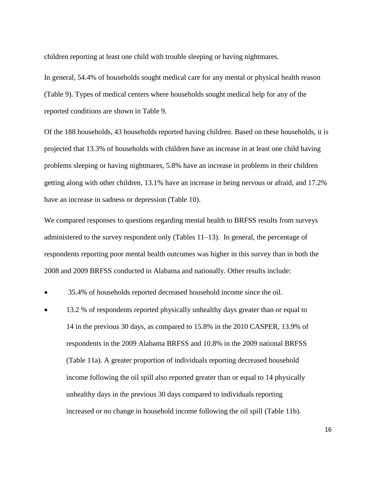children reporting at least one child with trouble sleeping or having nightmares.

In general, 54.4% of households sought medical care for any mental or physical health reason (Table 9). Types of medical centers where households sought medical help for any of the reported conditions are shown in Table 9.

Of the 188 households, 43 households reported having children. Based on these households, it is projected that 13.3% of households with children have an increase in at least one child having problems sleeping or having nightmares, 5.8% have an increase in problems in their children getting along with other children, 13.1% have an increase in being nervous or afraid, and 17.2% have an increase in sadness or depression (Table 10).

We compared responses to questions regarding mental health to BRFSS results from surveys administered to the survey respondent only (Tables  $11-13$ ). In general, the percentage of respondents reporting poor mental health outcomes was higher in this survey than in both the 2008 and 2009 BRFSS conducted in Alabama and nationally. Other results include:

35.4% of households reported decreased household income since the oil.

 13.2 % of respondents reported physically unhealthy days greater than or equal to 14 in the previous 30 days, as compared to 15.8% in the 2010 CASPER, 13.9% of respondents in the 2009 Alabama BRFSS and 10.8% in the 2009 national BRFSS (Table 11a). A greater proportion of individuals reporting decreased household income following the oil spill also reported greater than or equal to 14 physically unhealthy days in the previous 30 days compared to individuals reporting increased or no change in household income following the oil spill (Table 11b).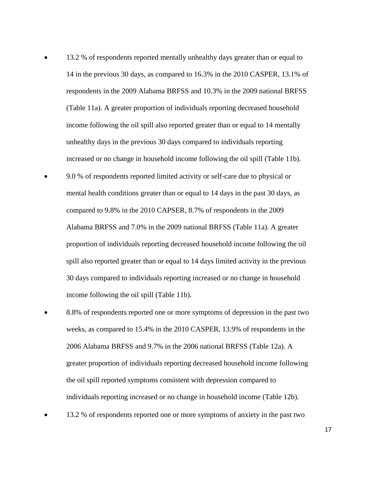- 13.2 % of respondents reported mentally unhealthy days greater than or equal to 14 in the previous 30 days, as compared to 16.3% in the 2010 CASPER, 13.1% of respondents in the 2009 Alabama BRFSS and 10.3% in the 2009 national BRFSS (Table 11a). A greater proportion of individuals reporting decreased household income following the oil spill also reported greater than or equal to 14 mentally unhealthy days in the previous 30 days compared to individuals reporting increased or no change in household income following the oil spill (Table 11b).
- 9.0 % of respondents reported limited activity or self-care due to physical or mental health conditions greater than or equal to 14 days in the past 30 days, as compared to 9.8% in the 2010 CAPSER, 8.7% of respondents in the 2009 Alabama BRFSS and 7.0% in the 2009 national BRFSS (Table 11a). A greater proportion of individuals reporting decreased household income following the oil spill also reported greater than or equal to 14 days limited activity in the previous 30 days compared to individuals reporting increased or no change in household income following the oil spill (Table 11b).
- 8.8% of respondents reported one or more symptoms of depression in the past two weeks, as compared to 15.4% in the 2010 CASPER, 13.9% of respondents in the 2006 Alabama BRFSS and 9.7% in the 2006 national BRFSS (Table 12a). A greater proportion of individuals reporting decreased household income following the oil spill reported symptoms consistent with depression compared to individuals reporting increased or no change in household income (Table 12b).
- 13.2 % of respondents reported one or more symptoms of anxiety in the past two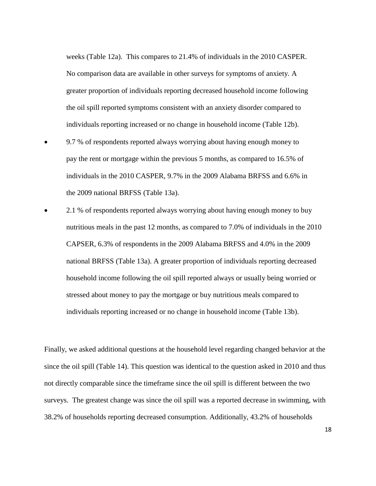weeks (Table 12a). This compares to 21.4% of individuals in the 2010 CASPER. No comparison data are available in other surveys for symptoms of anxiety. A greater proportion of individuals reporting decreased household income following the oil spill reported symptoms consistent with an anxiety disorder compared to individuals reporting increased or no change in household income (Table 12b).

- 9.7 % of respondents reported always worrying about having enough money to pay the rent or mortgage within the previous 5 months, as compared to 16.5% of individuals in the 2010 CASPER, 9.7% in the 2009 Alabama BRFSS and 6.6% in the 2009 national BRFSS (Table 13a).
- 2.1 % of respondents reported always worrying about having enough money to buy nutritious meals in the past 12 months, as compared to 7.0% of individuals in the 2010 CAPSER, 6.3% of respondents in the 2009 Alabama BRFSS and 4.0% in the 2009 national BRFSS (Table 13a). A greater proportion of individuals reporting decreased household income following the oil spill reported always or usually being worried or stressed about money to pay the mortgage or buy nutritious meals compared to individuals reporting increased or no change in household income (Table 13b).

Finally, we asked additional questions at the household level regarding changed behavior at the since the oil spill (Table 14). This question was identical to the question asked in 2010 and thus not directly comparable since the timeframe since the oil spill is different between the two surveys. The greatest change was since the oil spill was a reported decrease in swimming, with 38.2% of households reporting decreased consumption. Additionally, 43.2% of households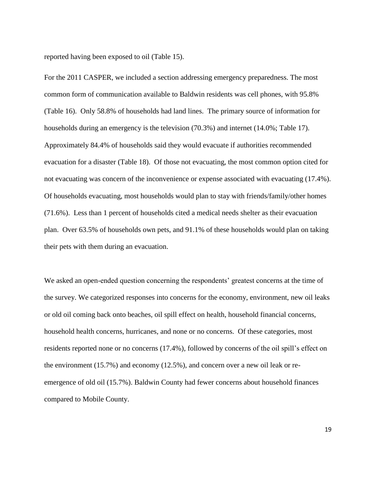reported having been exposed to oil (Table 15).

For the 2011 CASPER, we included a section addressing emergency preparedness. The most common form of communication available to Baldwin residents was cell phones, with 95.8% (Table 16). Only 58.8% of households had land lines. The primary source of information for households during an emergency is the television (70.3%) and internet (14.0%; Table 17). Approximately 84.4% of households said they would evacuate if authorities recommended evacuation for a disaster (Table 18). Of those not evacuating, the most common option cited for not evacuating was concern of the inconvenience or expense associated with evacuating (17.4%). Of households evacuating, most households would plan to stay with friends/family/other homes (71.6%). Less than 1 percent of households cited a medical needs shelter as their evacuation plan. Over 63.5% of households own pets, and 91.1% of these households would plan on taking their pets with them during an evacuation.

We asked an open-ended question concerning the respondents' greatest concerns at the time of the survey. We categorized responses into concerns for the economy, environment, new oil leaks or old oil coming back onto beaches, oil spill effect on health, household financial concerns, household health concerns, hurricanes, and none or no concerns. Of these categories, most residents reported none or no concerns (17.4%), followed by concerns of the oil spill's effect on the environment (15.7%) and economy (12.5%), and concern over a new oil leak or reemergence of old oil (15.7%). Baldwin County had fewer concerns about household finances compared to Mobile County.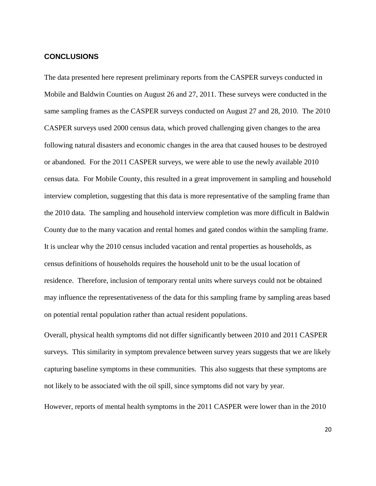#### **CONCLUSIONS**

The data presented here represent preliminary reports from the CASPER surveys conducted in Mobile and Baldwin Counties on August 26 and 27, 2011. These surveys were conducted in the same sampling frames as the CASPER surveys conducted on August 27 and 28, 2010. The 2010 CASPER surveys used 2000 census data, which proved challenging given changes to the area following natural disasters and economic changes in the area that caused houses to be destroyed or abandoned. For the 2011 CASPER surveys, we were able to use the newly available 2010 census data. For Mobile County, this resulted in a great improvement in sampling and household interview completion, suggesting that this data is more representative of the sampling frame than the 2010 data. The sampling and household interview completion was more difficult in Baldwin County due to the many vacation and rental homes and gated condos within the sampling frame. It is unclear why the 2010 census included vacation and rental properties as households, as census definitions of households requires the household unit to be the usual location of residence. Therefore, inclusion of temporary rental units where surveys could not be obtained may influence the representativeness of the data for this sampling frame by sampling areas based on potential rental population rather than actual resident populations.

Overall, physical health symptoms did not differ significantly between 2010 and 2011 CASPER surveys. This similarity in symptom prevalence between survey years suggests that we are likely capturing baseline symptoms in these communities. This also suggests that these symptoms are not likely to be associated with the oil spill, since symptoms did not vary by year.

However, reports of mental health symptoms in the 2011 CASPER were lower than in the 2010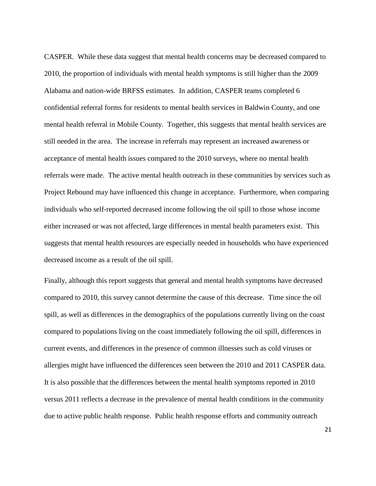CASPER. While these data suggest that mental health concerns may be decreased compared to 2010, the proportion of individuals with mental health symptoms is still higher than the 2009 Alabama and nation-wide BRFSS estimates. In addition, CASPER teams completed 6 confidential referral forms for residents to mental health services in Baldwin County, and one mental health referral in Mobile County. Together, this suggests that mental health services are still needed in the area. The increase in referrals may represent an increased awareness or acceptance of mental health issues compared to the 2010 surveys, where no mental health referrals were made. The active mental health outreach in these communities by services such as Project Rebound may have influenced this change in acceptance. Furthermore, when comparing individuals who self-reported decreased income following the oil spill to those whose income either increased or was not affected, large differences in mental health parameters exist. This suggests that mental health resources are especially needed in households who have experienced decreased income as a result of the oil spill.

Finally, although this report suggests that general and mental health symptoms have decreased compared to 2010, this survey cannot determine the cause of this decrease. Time since the oil spill, as well as differences in the demographics of the populations currently living on the coast compared to populations living on the coast immediately following the oil spill, differences in current events, and differences in the presence of common illnesses such as cold viruses or allergies might have influenced the differences seen between the 2010 and 2011 CASPER data. It is also possible that the differences between the mental health symptoms reported in 2010 versus 2011 reflects a decrease in the prevalence of mental health conditions in the community due to active public health response. Public health response efforts and community outreach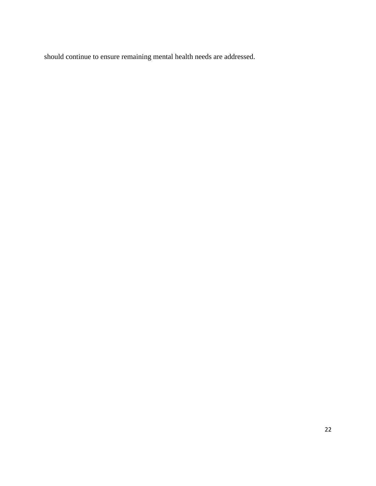should continue to ensure remaining mental health needs are addressed.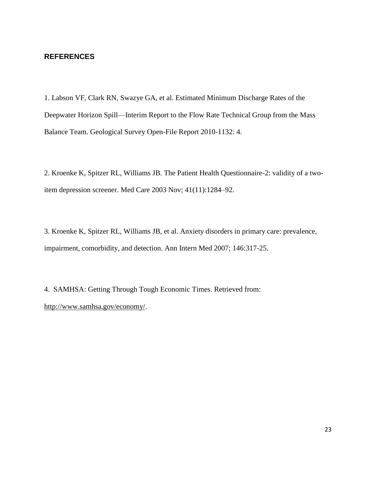### **REFERENCES**

1. Labson VF, Clark RN, Swazye GA, et al. Estimated Minimum Discharge Rates of the Deepwater Horizon Spill—Interim Report to the Flow Rate Technical Group from the Mass Balance Team. Geological Survey Open-File Report 2010-1132: 4.

2. Kroenke K, Spitzer RL, Williams JB. The Patient Health Questionnaire-2: validity of a twoitem depression screener. Med Care 2003 Nov; 41(11):1284–92.

3. Kroenke K, Spitzer RL, Williams JB, et al. Anxiety disorders in primary care: prevalence, impairment, comorbidity, and detection. Ann Intern Med 2007; 146:317-25.

4. SAMHSA: Getting Through Tough Economic Times. Retrieved from: http://www.samhsa.gov/economy/.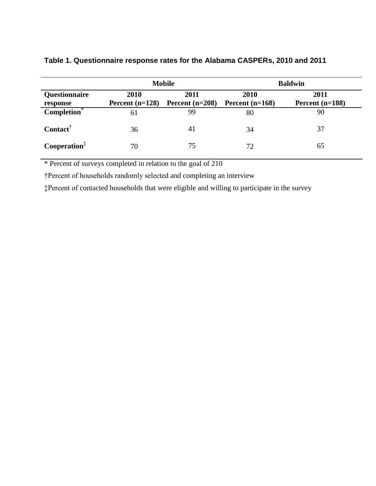|                                  |                           | <b>Mobile</b>             | <b>Baldwin</b>            |                           |  |
|----------------------------------|---------------------------|---------------------------|---------------------------|---------------------------|--|
| <b>Questionnaire</b><br>response | 2010<br>Percent $(n=128)$ | 2011<br>Percent $(n=208)$ | 2010<br>Percent $(n=168)$ | 2011<br>Percent $(n=188)$ |  |
| $Completion*$                    | 61                        | 99                        | 80                        | 90                        |  |
| Contact                          | 36                        | 41                        | 34                        | 37                        |  |
| Cooperation <sup>‡</sup>         | 70                        | 75                        | 72                        | 65                        |  |

## **Table 1. Questionnaire response rates for the Alabama CASPERs, 2010 and 2011**

\* Percent of surveys completed in relation to the goal of 210

†Percent of households randomly selected and completing an interview

‡Percent of contacted households that were eligible and willing to participate in the survey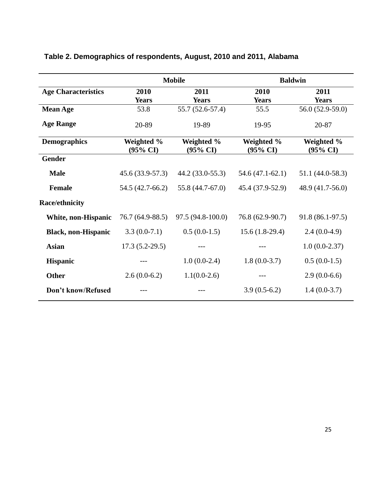|                            | <b>Mobile</b>          |                                   | <b>Baldwin</b>                                                         |                  |  |
|----------------------------|------------------------|-----------------------------------|------------------------------------------------------------------------|------------------|--|
| <b>Age Characteristics</b> | 2010                   | 2011                              | 2010                                                                   | 2011             |  |
|                            | <b>Years</b>           | <b>Years</b>                      | <b>Years</b>                                                           | <b>Years</b>     |  |
| <b>Mean Age</b>            | 53.8                   | 55.7 (52.6-57.4)                  | 55.5                                                                   | 56.0 (52.9-59.0) |  |
| <b>Age Range</b>           | 20-89                  | 19-89                             | 19-95                                                                  | 20-87            |  |
| <b>Demographics</b>        | Weighted %<br>(95% CI) | Weighted %<br>$(95\% \text{ CI})$ | Weighted %<br>Weighted %<br>$(95\% \text{ CI})$<br>$(95\% \text{ CI})$ |                  |  |
| <b>Gender</b>              |                        |                                   |                                                                        |                  |  |
| <b>Male</b>                | 45.6 (33.9-57.3)       | 44.2 (33.0-55.3)                  | $54.6(47.1-62.1)$                                                      | 51.1 (44.0-58.3) |  |
| <b>Female</b>              | 54.5 (42.7-66.2)       | 55.8 (44.7-67.0)                  | 45.4 (37.9-52.9)                                                       | 48.9 (41.7-56.0) |  |
| <b>Race/ethnicity</b>      |                        |                                   |                                                                        |                  |  |
| White, non-Hispanic        | 76.7 (64.9-88.5)       | 97.5 (94.8-100.0)                 | 76.8 (62.9-90.7)                                                       | 91.8 (86.1-97.5) |  |
| <b>Black, non-Hispanic</b> | $3.3(0.0-7.1)$         | $0.5(0.0-1.5)$                    | $15.6(1.8-29.4)$                                                       | $2.4(0.0-4.9)$   |  |
| <b>Asian</b>               | $17.3(5.2-29.5)$       |                                   |                                                                        | $1.0(0.0-2.37)$  |  |
| <b>Hispanic</b>            |                        | $1.0(0.0-2.4)$                    | $1.8(0.0-3.7)$                                                         | $0.5(0.0-1.5)$   |  |
| <b>Other</b>               | $2.6(0.0-6.2)$         | $1.1(0.0-2.6)$                    |                                                                        | $2.9(0.0-6.6)$   |  |
| Don't know/Refused         |                        | ---                               | $3.9(0.5-6.2)$                                                         | $1.4(0.0-3.7)$   |  |

## **Table 2. Demographics of respondents, August, 2010 and 2011, Alabama**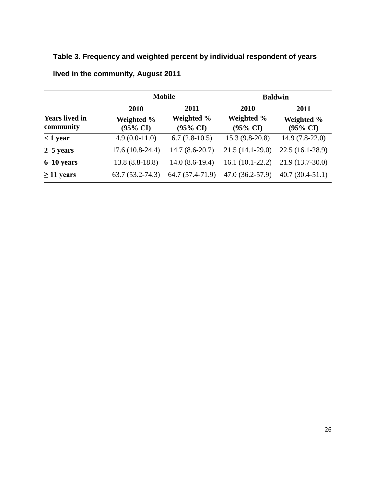## **Table 3. Frequency and weighted percent by individual respondent of years**

|                                    |                        | <b>Mobile</b>                     | <b>Baldwin</b>                    |                                   |  |
|------------------------------------|------------------------|-----------------------------------|-----------------------------------|-----------------------------------|--|
|                                    | 2010                   | 2011                              | 2010                              | 2011                              |  |
| <b>Years lived in</b><br>community | Weighted %<br>(95% CI) | Weighted %<br>$(95\% \text{ CI})$ | Weighted %<br>$(95\% \text{ CI})$ | Weighted %<br>$(95\% \text{ CI})$ |  |
| $<$ 1 year                         | $4.9(0.0-11.0)$        | $6.7(2.8-10.5)$                   | $15.3(9.8-20.8)$                  | $14.9(7.8-22.0)$                  |  |
| $2-5$ years                        | $17.6(10.8-24.4)$      | $14.7(8.6-20.7)$                  | $21.5(14.1-29.0)$                 | $22.5(16.1-28.9)$                 |  |
| $6-10$ years                       | $13.8(8.8-18.8)$       | $14.0(8.6-19.4)$                  | $16.1(10.1-22.2)$                 | $21.9(13.7-30.0)$                 |  |
| $\geq$ 11 years                    | $63.7(53.2 - 74.3)$    | 64.7 (57.4-71.9)                  | $47.0(36.2-57.9)$                 | $40.7(30.4-51.1)$                 |  |

**lived in the community, August 2011**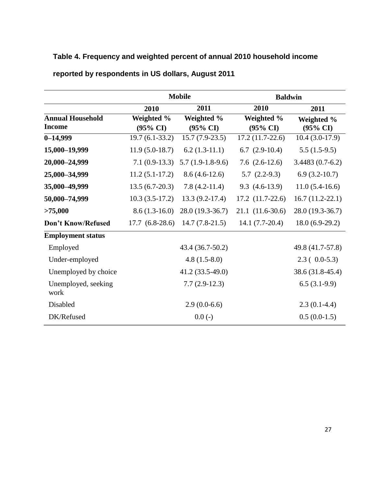## **Table 4. Frequency and weighted percent of annual 2010 household income**

|                                          |                                   | <b>Mobile</b>                     | <b>Baldwin</b>                    |                                   |  |
|------------------------------------------|-----------------------------------|-----------------------------------|-----------------------------------|-----------------------------------|--|
|                                          | 2010                              | 2011                              | 2010                              | 2011                              |  |
| <b>Annual Household</b><br><b>Income</b> | Weighted %<br>$(95\% \text{ CI})$ | Weighted %<br>$(95\% \text{ CI})$ | Weighted %<br>$(95\% \text{ CI})$ | Weighted %<br>$(95\% \text{ CI})$ |  |
| $0 - 14,999$                             | $19.7(6.1-33.2)$                  | $15.7(7.9-23.5)$                  | $17.2(11.7-22.6)$                 | $10.4(3.0-17.9)$                  |  |
| 15,000-19,999                            | $11.9(5.0-18.7)$                  | $6.2(1.3-11.1)$                   | $6.7$ $(2.9-10.4)$                | $5.5(1.5-9.5)$                    |  |
| 20,000-24,999                            | $7.1(0.9-13.3)$                   | $5.7(1.9-1.8-9.6)$                | 7.6 $(2.6-12.6)$                  | $3.4483(0.7-6.2)$                 |  |
| 25,000-34,999                            | $11.2(5.1-17.2)$                  | $8.6(4.6-12.6)$                   | $5.7(2.2-9.3)$                    | $6.9(3.2-10.7)$                   |  |
| 35,000 - 49,999                          | $13.5(6.7-20.3)$                  | $7.8(4.2-11.4)$                   | $9.3(4.6-13.9)$                   | $11.0(5.4-16.6)$                  |  |
| 50,000-74,999                            | $10.3(3.5-17.2)$                  | $13.3(9.2-17.4)$                  | $17.2$ $(11.7-22.6)$              | $16.7(11.2-22.1)$                 |  |
| >75,000                                  | $8.6(1.3-16.0)$                   | 28.0 (19.3-36.7)                  | $21.1(11.6-30.6)$                 | 28.0 (19.3-36.7)                  |  |
| Don't Know/Refused                       | $17.7(6.8-28.6)$                  | $14.7(7.8-21.5)$                  | $14.1 (7.7 - 20.4)$               | $18.0(6.9-29.2)$                  |  |
| <b>Employment status</b>                 |                                   |                                   |                                   |                                   |  |
| Employed                                 |                                   | 43.4 (36.7-50.2)                  |                                   | 49.8 (41.7-57.8)                  |  |
| Under-employed                           |                                   | $4.8(1.5-8.0)$                    |                                   | $2.3(0.0-5.3)$                    |  |
| Unemployed by choice                     |                                   | 41.2 (33.5-49.0)                  |                                   | 38.6 (31.8-45.4)                  |  |
| Unemployed, seeking<br>work              |                                   | $7.7(2.9-12.3)$                   |                                   | $6.5(3.1-9.9)$                    |  |
| Disabled                                 |                                   | $2.9(0.0-6.6)$                    |                                   | $2.3(0.1-4.4)$                    |  |
| DK/Refused                               |                                   | $0.0(-)$                          |                                   | $0.5(0.0-1.5)$                    |  |

## **reported by respondents in US dollars, August 2011**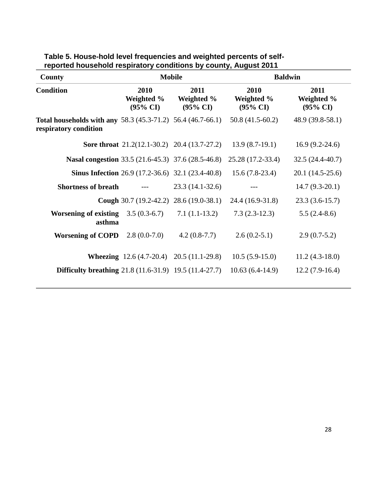| County                                                                                      |                                           | <b>Mobile</b>                                            | <b>Baldwin</b>                            |                                           |  |  |
|---------------------------------------------------------------------------------------------|-------------------------------------------|----------------------------------------------------------|-------------------------------------------|-------------------------------------------|--|--|
| <b>Condition</b>                                                                            | 2010<br>Weighted %<br>$(95\% \text{ CI})$ | 2011<br>Weighted %<br>$(95\% \text{ CI})$                | 2010<br>Weighted %<br>$(95\% \text{ CI})$ | 2011<br>Weighted %<br>$(95\% \text{ CI})$ |  |  |
| <b>Total households with any 58.3 (45.3-71.2) 56.4 (46.7-66.1)</b><br>respiratory condition |                                           |                                                          | $50.8(41.5-60.2)$                         | 48.9 (39.8-58.1)                          |  |  |
|                                                                                             |                                           | <b>Sore throat</b> $21.2(12.1-30.2)$ $20.4(13.7-27.2)$   | $13.9(8.7-19.1)$                          | $16.9(9.2-24.6)$                          |  |  |
| <b>Nasal congestion</b> 33.5 (21.6-45.3) 37.6 (28.5-46.8)                                   |                                           |                                                          | 25.28 (17.2-33.4)                         | $32.5(24.4-40.7)$                         |  |  |
|                                                                                             |                                           | <b>Sinus Infection</b> 26.9 (17.2-36.6) 32.1 (23.4-40.8) | $15.6(7.8-23.4)$                          | $20.1(14.5-25.6)$                         |  |  |
| <b>Shortness of breath</b>                                                                  | $---$                                     | $23.3(14.1-32.6)$                                        |                                           | $14.7(9.3-20.1)$                          |  |  |
|                                                                                             |                                           | <b>Cough</b> 30.7 (19.2-42.2) 28.6 (19.0-38.1)           | 24.4 (16.9-31.8)                          | $23.3(3.6-15.7)$                          |  |  |
| <b>Worsening of existing</b><br>asthma                                                      | $3.5(0.3-6.7)$                            | $7.1(1.1-13.2)$                                          | $7.3(2.3-12.3)$                           | $5.5(2.4-8.6)$                            |  |  |
| <b>Worsening of COPD</b>                                                                    | $2.8(0.0-7.0)$                            | $4.2(0.8-7.7)$                                           | $2.6(0.2-5.1)$                            | $2.9(0.7-5.2)$                            |  |  |
|                                                                                             |                                           | <b>Wheezing</b> $12.6(4.7-20.4)$ $20.5(11.1-29.8)$       | $10.5(5.9-15.0)$                          | $11.2(4.3-18.0)$                          |  |  |
| <b>Difficulty breathing</b> 21.8 (11.6-31.9) 19.5 (11.4-27.7)                               |                                           |                                                          | $10.63(6.4-14.9)$                         | $12.2(7.9-16.4)$                          |  |  |

| Table 5. House-hold level frequencies and weighted percents of self- |  |  |
|----------------------------------------------------------------------|--|--|
| reported household respiratory conditions by county, August 2011     |  |  |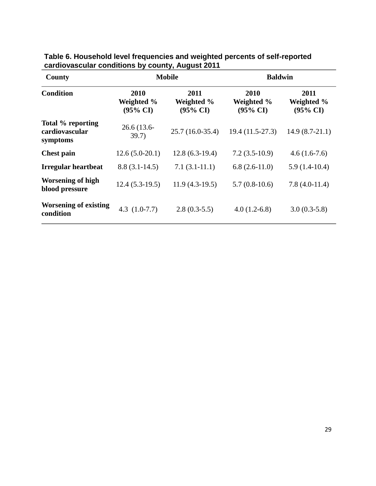| County                                          | <b>Mobile</b>                             |                                           | <b>Baldwin</b>                            |                                           |  |
|-------------------------------------------------|-------------------------------------------|-------------------------------------------|-------------------------------------------|-------------------------------------------|--|
| <b>Condition</b>                                | 2010<br>Weighted %<br>$(95\% \text{ CI})$ | 2011<br>Weighted %<br>$(95\% \text{ CI})$ | 2010<br>Weighted %<br>$(95\% \text{ CI})$ | 2011<br>Weighted %<br>$(95\% \text{ CI})$ |  |
| Total % reporting<br>cardiovascular<br>symptoms | $26.6(13.6-$<br>39.7)                     | $25.7(16.0-35.4)$                         | 19.4 (11.5-27.3)                          | $14.9(8.7-21.1)$                          |  |
| <b>Chest pain</b>                               | $12.6(5.0-20.1)$                          | $12.8(6.3-19.4)$                          | $7.2(3.5-10.9)$                           | $4.6(1.6-7.6)$                            |  |
| <b>Irregular heartbeat</b>                      | $8.8(3.1-14.5)$                           | $7.1(3.1-11.1)$                           | $6.8(2.6-11.0)$                           | $5.9(1.4-10.4)$                           |  |
| <b>Worsening of high</b><br>blood pressure      | $12.4(5.3-19.5)$                          | $11.9(4.3-19.5)$                          | $5.7(0.8-10.6)$                           | $7.8(4.0-11.4)$                           |  |
| <b>Worsening of existing</b><br>condition       | 4.3 $(1.0-7.7)$                           | $2.8(0.3-5.5)$                            | $4.0(1.2-6.8)$                            | $3.0(0.3-5.8)$                            |  |

## **Table 6. Household level frequencies and weighted percents of self-reported cardiovascular conditions by county, August 2011**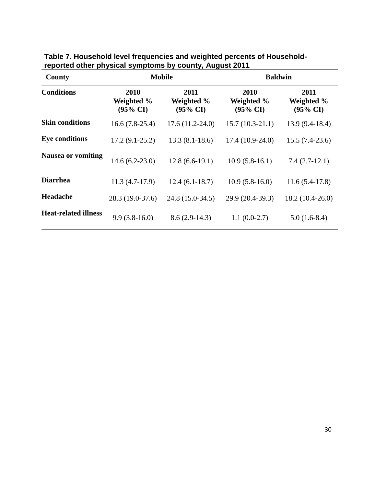| <b>County</b>               | <b>Mobile</b>                             |                                           | <b>Baldwin</b>                            |                                           |  |
|-----------------------------|-------------------------------------------|-------------------------------------------|-------------------------------------------|-------------------------------------------|--|
| <b>Conditions</b>           | 2010<br>Weighted %<br>$(95\% \text{ CI})$ | 2011<br>Weighted %<br>$(95\% \text{ CI})$ | 2010<br>Weighted %<br>$(95\% \text{ CI})$ | 2011<br>Weighted %<br>$(95\% \text{ CI})$ |  |
| <b>Skin conditions</b>      | $16.6(7.8-25.4)$                          | $17.6(11.2-24.0)$                         | $15.7(10.3-21.1)$                         | $13.9(9.4-18.4)$                          |  |
| <b>Eye conditions</b>       | $17.2(9.1-25.2)$                          | $13.3(8.1-18.6)$                          | $17.4(10.9-24.0)$                         | $15.5(7.4-23.6)$                          |  |
| <b>Nausea or vomiting</b>   | $14.6(6.2-23.0)$                          | $12.8(6.6-19.1)$                          | $10.9(5.8-16.1)$                          | $7.4(2.7-12.1)$                           |  |
| <b>Diarrhea</b>             | $11.3(4.7-17.9)$                          | $12.4(6.1-18.7)$                          | $10.9(5.8-16.0)$                          | $11.6(5.4-17.8)$                          |  |
| <b>Headache</b>             | 28.3 (19.0-37.6)                          | 24.8 (15.0-34.5)                          | 29.9 (20.4-39.3)                          | $18.2(10.4-26.0)$                         |  |
| <b>Heat-related illness</b> | $9.9(3.8-16.0)$                           | $8.6(2.9-14.3)$                           | $1.1(0.0-2.7)$                            | $5.0(1.6-8.4)$                            |  |

**Table 7. Household level frequencies and weighted percents of Householdreported other physical symptoms by county, August 2011**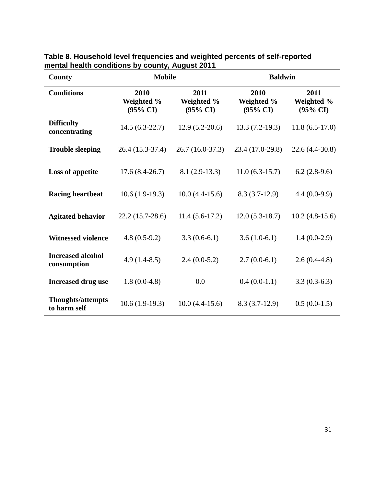| County                                   | <b>Mobile</b>                             |                                           | <b>Baldwin</b>                            |                                           |  |
|------------------------------------------|-------------------------------------------|-------------------------------------------|-------------------------------------------|-------------------------------------------|--|
| <b>Conditions</b>                        | 2010<br>Weighted %<br>$(95\% \text{ CI})$ | 2011<br>Weighted %<br>$(95\% \text{ CI})$ | 2010<br>Weighted %<br>$(95\% \text{ CI})$ | 2011<br>Weighted %<br>$(95\% \text{ CI})$ |  |
| <b>Difficulty</b><br>concentrating       | $14.5(6.3-22.7)$                          | $12.9(5.2-20.6)$                          | $13.3(7.2-19.3)$                          | $11.8(6.5-17.0)$                          |  |
| <b>Trouble sleeping</b>                  | 26.4 (15.3-37.4)                          | $26.7(16.0-37.3)$                         | 23.4 (17.0-29.8)                          | 22.6 (4.4-30.8)                           |  |
| <b>Loss of appetite</b>                  | $17.6(8.4-26.7)$                          | $8.1(2.9-13.3)$                           | $11.0(6.3-15.7)$                          | $6.2(2.8-9.6)$                            |  |
| <b>Racing heartbeat</b>                  | $10.6(1.9-19.3)$                          | $10.0(4.4-15.6)$                          | $8.3(3.7-12.9)$                           | $4.4(0.0-9.9)$                            |  |
| <b>Agitated behavior</b>                 | $22.2(15.7-28.6)$                         | $11.4(5.6-17.2)$                          | $12.0(5.3-18.7)$                          | $10.2(4.8-15.6)$                          |  |
| <b>Witnessed violence</b>                | $4.8(0.5-9.2)$                            | $3.3(0.6-6.1)$                            | $3.6(1.0-6.1)$                            | $1.4(0.0-2.9)$                            |  |
| <b>Increased alcohol</b><br>consumption  | $4.9(1.4-8.5)$                            | $2.4(0.0-5.2)$                            | $2.7(0.0-6.1)$                            | $2.6(0.4-4.8)$                            |  |
| <b>Increased drug use</b>                | $1.8(0.0-4.8)$                            | 0.0                                       | $0.4(0.0-1.1)$                            | $3.3(0.3-6.3)$                            |  |
| <b>Thoughts/attempts</b><br>to harm self | $10.6(1.9-19.3)$                          | $10.0(4.4-15.6)$                          | $8.3(3.7-12.9)$                           | $0.5(0.0-1.5)$                            |  |

**Table 8. Household level frequencies and weighted percents of self-reported mental health conditions by county, August 2011**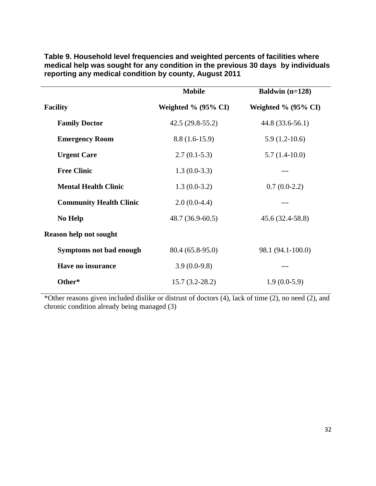|                                | <b>Mobile</b>              | Baldwin $(n=128)$          |
|--------------------------------|----------------------------|----------------------------|
| <b>Facility</b>                | Weighted $\%$ (95 $\%$ CI) | Weighted $\%$ (95 $\%$ CI) |
| <b>Family Doctor</b>           | $42.5(29.8-55.2)$          | 44.8 (33.6-56.1)           |
| <b>Emergency Room</b>          | $8.8(1.6-15.9)$            | $5.9(1.2-10.6)$            |
| <b>Urgent Care</b>             | $2.7(0.1-5.3)$             | $5.7(1.4-10.0)$            |
| <b>Free Clinic</b>             | $1.3(0.0-3.3)$             |                            |
| <b>Mental Health Clinic</b>    | $1.3(0.0-3.2)$             | $0.7(0.0-2.2)$             |
| <b>Community Health Clinic</b> | $2.0(0.0-4.4)$             |                            |
| No Help                        | $48.7(36.9-60.5)$          | $45.6(32.4-58.8)$          |
| <b>Reason help not sought</b>  |                            |                            |
| Symptoms not bad enough        | 80.4 (65.8-95.0)           | 98.1 (94.1-100.0)          |
| Have no insurance              | $3.9(0.0-9.8)$             | $---$                      |
| Other*                         | $15.7(3.2-28.2)$           | $1.9(0.0-5.9)$             |

**Table 9. Household level frequencies and weighted percents of facilities where medical help was sought for any condition in the previous 30 days by individuals reporting any medical condition by county, August 2011**

\*Other reasons given included dislike or distrust of doctors (4), lack of time (2), no need (2), and chronic condition already being managed (3)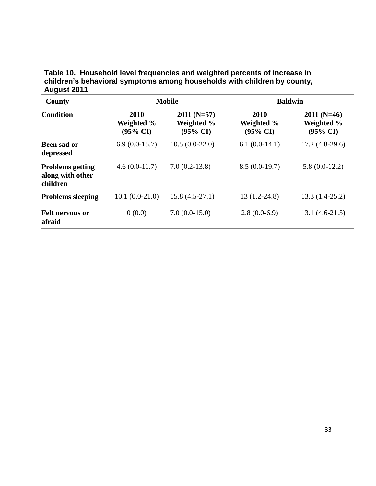**Table 10. Household level frequencies and weighted percents of increase in children's behavioral symptoms among households with children by county, August 2011**

| County                                                  |                                           | <b>Mobile</b>                                     | <b>Baldwin</b>                            |                                                   |  |
|---------------------------------------------------------|-------------------------------------------|---------------------------------------------------|-------------------------------------------|---------------------------------------------------|--|
| <b>Condition</b>                                        | 2010<br>Weighted %<br>$(95\% \text{ CI})$ | $2011(N=57)$<br>Weighted %<br>$(95\% \text{ CI})$ | 2010<br>Weighted %<br>$(95\% \text{ CI})$ | $2011(N=46)$<br>Weighted %<br>$(95\% \text{ CI})$ |  |
| Been sad or<br>depressed                                | $6.9(0.0-15.7)$                           | $10.5(0.0-22.0)$                                  | $6.1(0.0-14.1)$                           | $17.2(4.8-29.6)$                                  |  |
| <b>Problems getting</b><br>along with other<br>children | $4.6(0.0-11.7)$                           | $7.0(0.2-13.8)$                                   | $8.5(0.0-19.7)$                           | $5.8(0.0-12.2)$                                   |  |
| <b>Problems sleeping</b>                                | $10.1(0.0-21.0)$                          | $15.8(4.5-27.1)$                                  | $13(1.2-24.8)$                            | $13.3(1.4-25.2)$                                  |  |
| <b>Felt nervous or</b><br>afraid                        | 0(0.0)                                    | $7.0(0.0-15.0)$                                   | $2.8(0.0-6.9)$                            | $13.1(4.6-21.5)$                                  |  |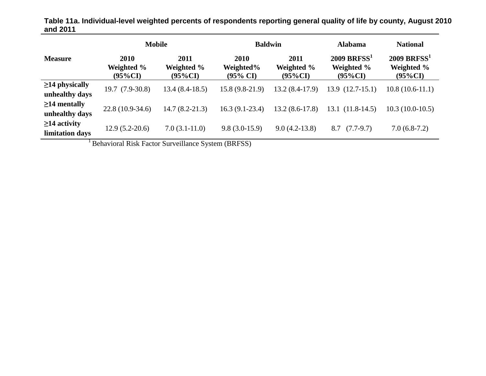|                                        | <b>Mobile</b>                    |                                  | <b>Baldwin</b>                           |                                  | <b>Alabama</b>                                        | <b>National</b>                                       |
|----------------------------------------|----------------------------------|----------------------------------|------------------------------------------|----------------------------------|-------------------------------------------------------|-------------------------------------------------------|
| <b>Measure</b>                         | 2010<br>Weighted %<br>$(95\%CI)$ | 2011<br>Weighted %<br>$(95\%CI)$ | 2010<br>Weighted%<br>$(95\% \text{ CI})$ | 2011<br>Weighted %<br>$(95\%CI)$ | $2009$ BRFSS <sup>1</sup><br>Weighted %<br>$(95\%CI)$ | $2009$ BRFSS <sup>1</sup><br>Weighted %<br>$(95\%CI)$ |
| $\geq$ 14 physically<br>unhealthy days | $19.7(7.9-30.8)$                 | $13.4(8.4-18.5)$                 | $15.8(9.8-21.9)$                         | $13.2(8.4-17.9)$                 | $13.9(12.7-15.1)$                                     | $10.8(10.6-11.1)$                                     |
| $\geq$ 14 mentally<br>unhealthy days   | $22.8(10.9-34.6)$                | $14.7(8.2 - 21.3)$               | $16.3(9.1-23.4)$                         | $13.2(8.6-17.8)$                 | $(11.8-14.5)$<br>13.1                                 | $10.3(10.0-10.5)$                                     |
| $\geq$ 14 activity<br>limitation days  | $12.9(5.2-20.6)$                 | $7.0(3.1-11.0)$                  | $9.8(3.0-15.9)$                          | $9.0(4.2-13.8)$                  | $(7.7-9.7)$<br>8.7                                    | $7.0(6.8-7.2)$                                        |

**Table 11a. Individual-level weighted percents of respondents reporting general quality of life by county, August 2010 and 2011**

<sup>1</sup> Behavioral Risk Factor Surveillance System (BRFSS)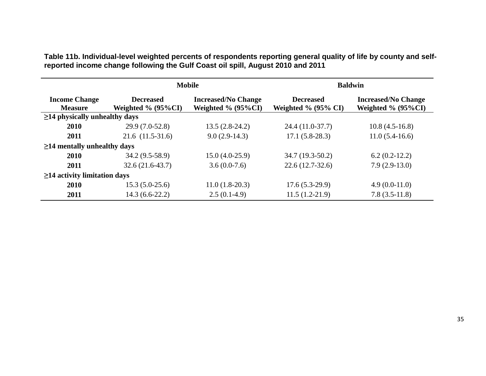**Table 11b. Individual-level weighted percents of respondents reporting general quality of life by county and selfreported income change following the Gulf Coast oil spill, August 2010 and 2011**

|                                        |                                           | <b>Mobile</b>                                            | <b>Baldwin</b>                                 |                                                          |  |
|----------------------------------------|-------------------------------------------|----------------------------------------------------------|------------------------------------------------|----------------------------------------------------------|--|
| <b>Income Change</b><br><b>Measure</b> | <b>Decreased</b><br>Weighted $\%$ (95%CI) | <b>Increased/No Change</b><br>Weighted $\%$ (95 $\%$ CI) | <b>Decreased</b><br>Weighted $\%$ (95 $\%$ CI) | <b>Increased/No Change</b><br>Weighted $\%$ (95 $\%$ CI) |  |
| $\geq$ 14 physically unhealthy days    |                                           |                                                          |                                                |                                                          |  |
| 2010                                   | 29.9 (7.0-52.8)                           | $13.5(2.8-24.2)$                                         | 24.4 (11.0-37.7)                               | $10.8(4.5-16.8)$                                         |  |
| 2011                                   | $21.6$ $(11.5-31.6)$                      | $9.0(2.9-14.3)$                                          | $17.1(5.8-28.3)$                               | $11.0(5.4-16.6)$                                         |  |
| $\geq$ 14 mentally unhealthy days      |                                           |                                                          |                                                |                                                          |  |
| 2010                                   | $34.2(9.5-58.9)$                          | $15.0(4.0-25.9)$                                         | $34.7(19.3-50.2)$                              | $6.2(0.2-12.2)$                                          |  |
| 2011                                   | $32.6(21.6-43.7)$                         | $3.6(0.0-7.6)$                                           | $22.6(12.7-32.6)$                              | $7.9(2.9-13.0)$                                          |  |
| $\geq$ 14 activity limitation days     |                                           |                                                          |                                                |                                                          |  |
| 2010                                   | $15.3(5.0-25.6)$                          | $11.0(1.8-20.3)$                                         | $17.6(5.3-29.9)$                               | $4.9(0.0-11.0)$                                          |  |
| 2011                                   | $14.3(6.6-22.2)$                          | $2.5(0.1-4.9)$                                           | $11.5(1.2-21.9)$                               | $7.8(3.5-11.8)$                                          |  |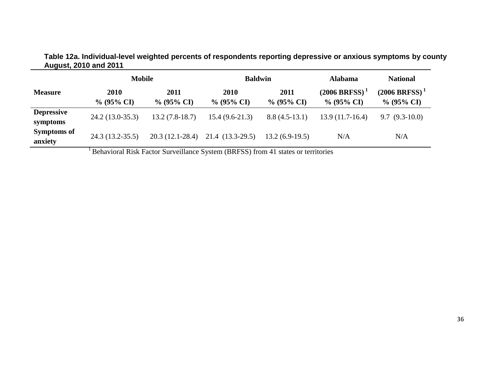|                               | <b>Mobile</b>         |                       | <b>Baldwin</b>        |                       | <b>Alabama</b>                       | <b>National</b>                     |
|-------------------------------|-----------------------|-----------------------|-----------------------|-----------------------|--------------------------------------|-------------------------------------|
| <b>Measure</b>                | 2010<br>$\%$ (95% CI) | 2011<br>$\%$ (95% CI) | 2010<br>$\%$ (95% CI) | 2011<br>$\%$ (95% CI) | $(2006 BRFSS)^{-1}$<br>$\%$ (95% CI) | $(2006 BRFSS)^{1}$<br>$\%$ (95% CI) |
| <b>Depressive</b><br>symptoms | $24.2(13.0-35.3)$     | $13.2(7.8-18.7)$      | $15.4(9.6-21.3)$      | $8.8(4.5-13.1)$       | $13.9(11.7-16.4)$                    | $9.7(9.3-10.0)$                     |
| <b>Symptoms of</b><br>anxiety | $24.3(13.2-35.5)$     | $20.3(12.1 - 28.4)$   | 21.4 (13.3-29.5)      | $13.2(6.9-19.5)$      | N/A                                  | N/A                                 |

**Table 12a. Individual-level weighted percents of respondents reporting depressive or anxious symptoms by county August, 2010 and 2011**

<sup>1</sup> Behavioral Risk Factor Surveillance System (BRFSS) from 41 states or territories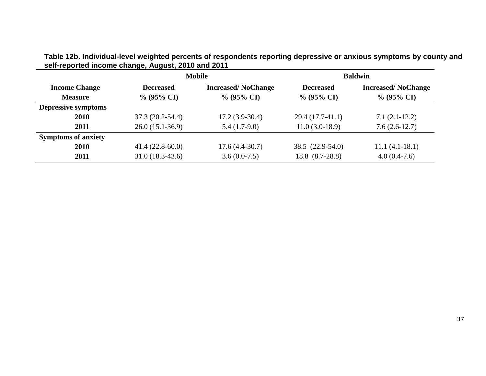|                                        |                                   | <b>Mobile</b>                              | <b>Baldwin</b>                    |                                            |  |
|----------------------------------------|-----------------------------------|--------------------------------------------|-----------------------------------|--------------------------------------------|--|
| <b>Income Change</b><br><b>Measure</b> | <b>Decreased</b><br>$\%$ (95% CI) | <b>Increased/NoChange</b><br>$\%$ (95% CI) | <b>Decreased</b><br>$\%$ (95% CI) | <b>Increased/NoChange</b><br>$\%$ (95% CI) |  |
| <b>Depressive symptoms</b>             |                                   |                                            |                                   |                                            |  |
| 2010                                   | $37.3(20.2-54.4)$                 | $17.2(3.9-30.4)$                           | $29.4(17.7-41.1)$                 | $7.1(2.1-12.2)$                            |  |
| 2011                                   | $26.0(15.1-36.9)$                 | $5.4(1.7-9.0)$                             | $11.0(3.0-18.9)$                  | $7.6(2.6-12.7)$                            |  |
| <b>Symptoms of anxiety</b>             |                                   |                                            |                                   |                                            |  |
| 2010                                   | $41.4(22.8-60.0)$                 | $17.6(4.4-30.7)$                           | $38.5(22.9-54.0)$                 | $11.1(4.1-18.1)$                           |  |
| 2011                                   | $31.0(18.3-43.6)$                 | $3.6(0.0-7.5)$                             | 18.8 (8.7-28.8)                   | $4.0(0.4-7.6)$                             |  |

**Table 12b. Individual-level weighted percents of respondents reporting depressive or anxious symptoms by county and self-reported income change, August, 2010 and 2011**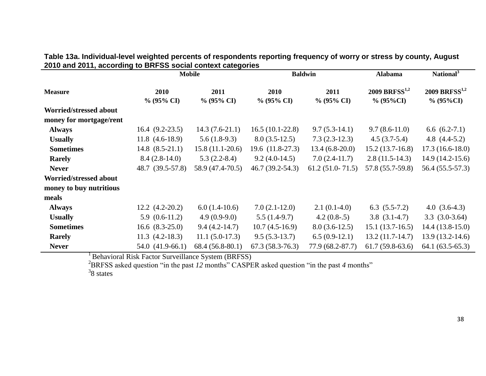| Table 13a. Individual-level weighted percents of respondents reporting frequency of worry or stress by county, August |  |
|-----------------------------------------------------------------------------------------------------------------------|--|
| 2010 and 2011, according to BRFSS social context categories                                                           |  |
|                                                                                                                       |  |

|                         |                       | <b>Mobile</b>         |                       | <b>Baldwin</b>        | <b>Alabama</b>                            | National <sup>3</sup>                     |
|-------------------------|-----------------------|-----------------------|-----------------------|-----------------------|-------------------------------------------|-------------------------------------------|
| <b>Measure</b>          | 2010<br>$\%$ (95% CI) | 2011<br>$\%$ (95% CI) | 2010<br>$\%$ (95% CI) | 2011<br>$\%$ (95% CI) | 2009 BRFSS <sup>1,2</sup><br>$\%$ (95%CI) | 2009 BRFSS <sup>1,2</sup><br>$\%$ (95%CI) |
| Worried/stressed about  |                       |                       |                       |                       |                                           |                                           |
| money for mortgage/rent |                       |                       |                       |                       |                                           |                                           |
| <b>Always</b>           | $16.4(9.2-23.5)$      | $14.3(7.6-21.1)$      | $16.5(10.1-22.8)$     | $9.7(5.3-14.1)$       | $9.7(8.6-11.0)$                           | 6.6 $(6.2-7.1)$                           |
| <b>Usually</b>          | $11.8(4.6-18.9)$      | $5.6(1.8-9.3)$        | $8.0(3.5-12.5)$       | $7.3(2.3-12.3)$       | $4.5(3.7-5.4)$                            | 4.8 $(4.4-5.2)$                           |
| <b>Sometimes</b>        | $14.8$ $(8.5-21.1)$   | $15.8(11.1-20.6)$     | $19.6$ $(11.8-27.3)$  | $13.4(6.8-20.0)$      | $15.2(13.7-16.8)$                         | $17.3(16.6-18.0)$                         |
| <b>Rarely</b>           | $8.4(2.8-14.0)$       | $5.3(2.2-8.4)$        | $9.2(4.0-14.5)$       | $7.0(2.4-11.7)$       | $2.8(11.5-14.3)$                          | $14.9(14.2-15.6)$                         |
| <b>Never</b>            | 48.7 (39.5-57.8)      | 58.9 (47.4-70.5)      | $46.7(39.2-54.3)$     | $61.2(51.0-71.5)$     | 57.8 (55.7-59.8)                          | 56.4 (55.5-57.3)                          |
| Worried/stressed about  |                       |                       |                       |                       |                                           |                                           |
| money to buy nutritious |                       |                       |                       |                       |                                           |                                           |
| meals                   |                       |                       |                       |                       |                                           |                                           |
| <b>Always</b>           | $12.2 \ (4.2 - 20.2)$ | $6.0(1.4-10.6)$       | $7.0(2.1-12.0)$       | $2.1(0.1-4.0)$        | $6.3(5.5-7.2)$                            | 4.0 $(3.6-4.3)$                           |
| <b>Usually</b>          | $5.9(0.6-11.2)$       | $4.9(0.9-9.0)$        | $5.5(1.4-9.7)$        | $4.2(0.8-0.5)$        | $3.8(3.1-4.7)$                            | $3.3(3.0-3.64)$                           |
| <b>Sometimes</b>        | $16.6$ $(8.3-25.0)$   | $9.4(4.2-14.7)$       | $10.7(4.5-16.9)$      | $8.0(3.6-12.5)$       | $15.1(13.7-16.5)$                         | $14.4(13.8-15.0)$                         |
| <b>Rarely</b>           | $11.3$ $(4.2-18.3)$   | $11.1 (5.0-17.3)$     | $9.5(5.3-13.7)$       | $6.5(0.9-12.1)$       | $13.2(11.7-14.7)$                         | $13.9(13.2-14.6)$                         |
| <b>Never</b>            | 54.0 (41.9-66.1)      | $68.4(56.8-80.1)$     | $67.3(58.3-76.3)$     | 77.9 (68.2-87.7)      | $61.7(59.8-63.6)$                         | $64.1(63.5-65.3)$                         |

<sup>1</sup> Behavioral Risk Factor Surveillance System (BRFSS)

<sup>2</sup>BRFSS asked question "in the past *12* months" CASPER asked question "in the past *4* months"  $38$  states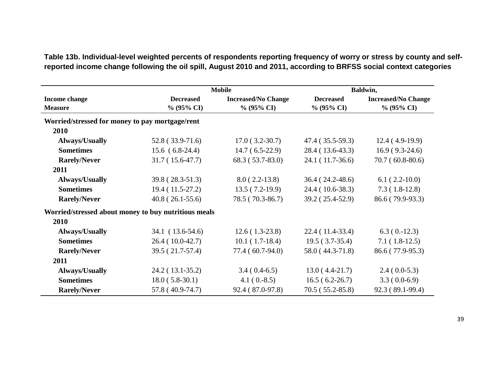|                                                 |                                                      | <b>Mobile</b>              |                   | Baldwin,                   |
|-------------------------------------------------|------------------------------------------------------|----------------------------|-------------------|----------------------------|
| Income change                                   | <b>Decreased</b>                                     | <b>Increased/No Change</b> | <b>Decreased</b>  | <b>Increased/No Change</b> |
| <b>Measure</b>                                  | $% (95\% CI)$                                        | $\%$ (95% CI)              | $\%$ (95% CI)     | $\%$ (95% CI)              |
| Worried/stressed for money to pay mortgage/rent |                                                      |                            |                   |                            |
| 2010                                            |                                                      |                            |                   |                            |
| <b>Always/Usually</b>                           | $52.8(33.9-71.6)$                                    | $17.0(3.2-30.7)$           | $47.4(35.5-59.3)$ | $12.4(4.9-19.9)$           |
| <b>Sometimes</b>                                | $15.6(6.8-24.4)$                                     | $14.7(6.5-22.9)$           | 28.4 (13.6-43.3)  | $16.9(9.3-24.6)$           |
| <b>Rarely/Never</b>                             | $31.7(15.6-47.7)$                                    | $68.3(53.7-83.0)$          | $24.1(11.7-36.6)$ | $70.7(60.8-80.6)$          |
| 2011                                            |                                                      |                            |                   |                            |
| <b>Always/Usually</b>                           | $39.8(28.3-51.3)$                                    | $8.0(2.2-13.8)$            | $36.4(24.2-48.6)$ | $6.1(2.2-10.0)$            |
| <b>Sometimes</b>                                | 19.4 (11.5-27.2)                                     | $13.5(7.2-19.9)$           | 24.4 (10.6-38.3)  | $7.3(1.8-12.8)$            |
| <b>Rarely/Never</b>                             | $40.8(26.1-55.6)$                                    | 78.5 (70.3-86.7)           | 39.2 (25.4-52.9)  | 86.6 (79.9-93.3)           |
|                                                 | Worried/stressed about money to buy nutritious meals |                            |                   |                            |
| 2010                                            |                                                      |                            |                   |                            |
| <b>Always/Usually</b>                           | 34.1 (13.6-54.6)                                     | $12.6(1.3-23.8)$           | $22.4(11.4-33.4)$ | $6.3(0.-12.3)$             |
| <b>Sometimes</b>                                | $26.4(10.0-42.7)$                                    | $10.1(1.7-18.4)$           | $19.5(3.7-35.4)$  | $7.1(1.8-12.5)$            |
| <b>Rarely/Never</b>                             | $39.5(21.7-57.4)$                                    | 77.4 (60.7-94.0)           | 58.0 (44.3-71.8)  | 86.6 (77.9-95.3)           |
| 2011                                            |                                                      |                            |                   |                            |
| <b>Always/Usually</b>                           | $24.2(13.1-35.2)$                                    | $3.4(0.4-6.5)$             | $13.0(4.4-21.7)$  | $2.4(0.0-5.3)$             |
| <b>Sometimes</b>                                | $18.0(5.8-30.1)$                                     | $4.1(0.-8.5)$              | $16.5(6.2-26.7)$  | $3.3(0.0-6.9)$             |
| <b>Rarely/Never</b>                             | 57.8 (40.9-74.7)                                     | 92.4 (87.0-97.8)           | $70.5(55.2-85.8)$ | 92.3 (89.1-99.4)           |

**Table 13b. Individual-level weighted percents of respondents reporting frequency of worry or stress by county and selfreported income change following the oil spill, August 2010 and 2011, according to BRFSS social context categories**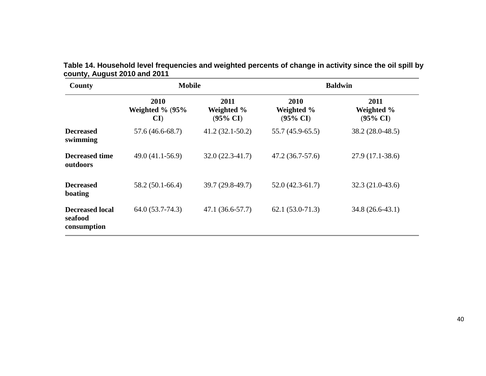| County                                           | <b>Mobile</b>                               |                                           | <b>Baldwin</b>                            |                                           |  |
|--------------------------------------------------|---------------------------------------------|-------------------------------------------|-------------------------------------------|-------------------------------------------|--|
|                                                  | <b>2010</b><br>Weighted $\%$ (95 $\%$<br>CI | 2011<br>Weighted %<br>$(95\% \text{ CI})$ | 2010<br>Weighted %<br>$(95\% \text{ CI})$ | 2011<br>Weighted %<br>$(95\% \text{ CI})$ |  |
| <b>Decreased</b><br>swimming                     | $57.6(46.6-68.7)$                           | $41.2(32.1-50.2)$                         | $55.7(45.9-65.5)$                         | 38.2 (28.0-48.5)                          |  |
| <b>Decreased time</b><br>outdoors                | 49.0 (41.1-56.9)                            | $32.0(22.3-41.7)$                         | $47.2(36.7-57.6)$                         | $27.9(17.1-38.6)$                         |  |
| <b>Decreased</b><br>boating                      | $58.2(50.1-66.4)$                           | 39.7 (29.8-49.7)                          | $52.0(42.3-61.7)$                         | $32.3(21.0-43.6)$                         |  |
| <b>Decreased local</b><br>seafood<br>consumption | $64.0(53.7-74.3)$                           | $47.1(36.6-57.7)$                         | $62.1(53.0-71.3)$                         | 34.8 (26.6-43.1)                          |  |

**Table 14. Household level frequencies and weighted percents of change in activity since the oil spill by county, August 2010 and 2011**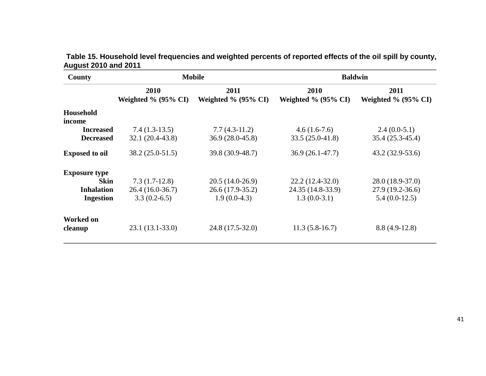| Table 15. Household level frequencies and weighted percents of reported effects of the oil spill by county, |  |  |  |
|-------------------------------------------------------------------------------------------------------------|--|--|--|
| <b>August 2010 and 2011</b>                                                                                 |  |  |  |

| County                               |                                     | <b>Mobile</b>                        | <b>Baldwin</b>                      |                                    |  |
|--------------------------------------|-------------------------------------|--------------------------------------|-------------------------------------|------------------------------------|--|
|                                      | 2010<br>Weighted $\%$ (95 $\%$ CI)  | 2011<br>Weighted $\%$ (95% CI)       | 2010<br>Weighted $\%$ (95 $\%$ CI)  | 2011<br>Weighted $\%$ (95 $\%$ CI) |  |
| Household<br>income                  |                                     |                                      |                                     |                                    |  |
| <b>Increased</b><br><b>Decreased</b> | $7.4(1.3-13.5)$<br>32.1 (20.4-43.8) | $7.7(4.3-11.2)$<br>$36.9(28.0-45.8)$ | $4.6(1.6-7.6)$<br>$33.5(25.0-41.8)$ | $2.4(0.0-5.1)$<br>35.4 (25.3-45.4) |  |
| <b>Exposed to oil</b>                | 38.2 (25.0-51.5)                    | 39.8 (30.9-48.7)                     | $36.9(26.1-47.7)$                   | $43.2(32.9-53.6)$                  |  |
| <b>Exposure type</b>                 |                                     |                                      |                                     |                                    |  |
| Skin                                 | $7.3(1.7-12.8)$                     | $20.5(14.0-26.9)$                    | $22.2(12.4-32.0)$                   | 28.0 (18.9-37.0)                   |  |
| <b>Inhalation</b>                    | $26.4(16.0-36.7)$                   | 26.6 (17.9-35.2)                     | 24.35 (14.8-33.9)                   | 27.9 (19.2-36.6)                   |  |
| <b>Ingestion</b>                     | $3.3(0.2-6.5)$                      | $1.9(0.0-4.3)$                       | $1.3(0.0-3.1)$                      | $5.4(0.0-12.5)$                    |  |
| <b>Worked on</b><br>cleanup          | $23.1(13.1-33.0)$                   | 24.8 (17.5-32.0)                     | $11.3(5.8-16.7)$                    | $8.8(4.9-12.8)$                    |  |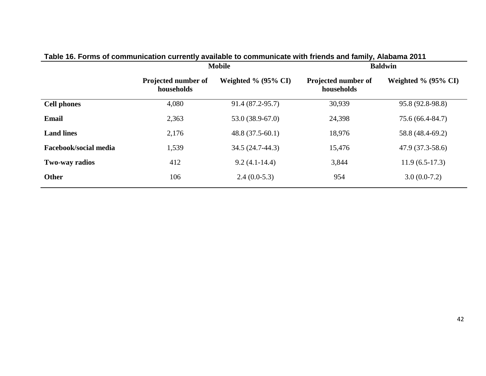|                       | <b>Mobile</b>                     |                                |                                   | <b>Baldwin</b>         |
|-----------------------|-----------------------------------|--------------------------------|-----------------------------------|------------------------|
|                       | Projected number of<br>households | Weighted % $(95\% \text{ CI})$ | Projected number of<br>households | Weighted $\%$ (95% CI) |
| <b>Cell phones</b>    | 4,080                             | 91.4 (87.2-95.7)               | 30,939                            | 95.8 (92.8-98.8)       |
| <b>Email</b>          | 2,363                             | $53.0(38.9-67.0)$              | 24,398                            | 75.6 (66.4-84.7)       |
| <b>Land lines</b>     | 2,176                             | $48.8(37.5-60.1)$              | 18,976                            | 58.8 (48.4-69.2)       |
| Facebook/social media | 1,539                             | 34.5 (24.7-44.3)               | 15,476                            | $47.9(37.3-58.6)$      |
| Two-way radios        | 412                               | $9.2(4.1-14.4)$                | 3,844                             | $11.9(6.5-17.3)$       |
| Other                 | 106                               | $2.4(0.0-5.3)$                 | 954                               | $3.0(0.0-7.2)$         |

## **Table 16. Forms of communication currently available to communicate with friends and family, Alabama 2011**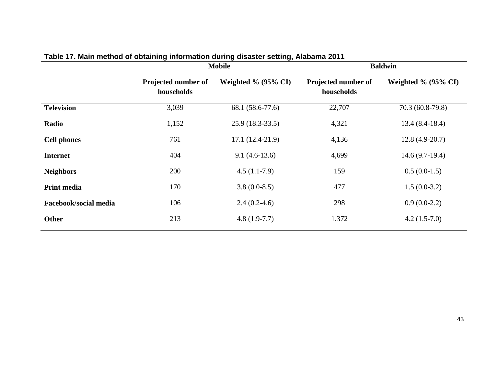|                       |                                   | ----- ------ <u>-</u> ,, -<br><b>Mobile</b> | <b>Baldwin</b>                    |                                |  |
|-----------------------|-----------------------------------|---------------------------------------------|-----------------------------------|--------------------------------|--|
|                       | Projected number of<br>households | Weighted % $(95\% \text{ CI})$              | Projected number of<br>households | Weighted % $(95\% \text{ CI})$ |  |
| <b>Television</b>     | 3,039                             | 68.1 (58.6-77.6)                            | 22,707                            | 70.3 (60.8-79.8)               |  |
| Radio                 | 1,152                             | $25.9(18.3-33.5)$                           | 4,321                             | $13.4(8.4-18.4)$               |  |
| <b>Cell phones</b>    | 761                               | $17.1(12.4-21.9)$                           | 4,136                             | $12.8(4.9-20.7)$               |  |
| <b>Internet</b>       | 404                               | $9.1(4.6-13.6)$                             | 4,699                             | $14.6(9.7-19.4)$               |  |
| <b>Neighbors</b>      | 200                               | $4.5(1.1-7.9)$                              | 159                               | $0.5(0.0-1.5)$                 |  |
| <b>Print media</b>    | 170                               | $3.8(0.0-8.5)$                              | 477                               | $1.5(0.0-3.2)$                 |  |
| Facebook/social media | 106                               | $2.4(0.2-4.6)$                              | 298                               | $0.9(0.0-2.2)$                 |  |
| <b>Other</b>          | 213                               | $4.8(1.9-7.7)$                              | 1,372                             | $4.2(1.5-7.0)$                 |  |

## **Table 17. Main method of obtaining information during disaster setting, Alabama 2011**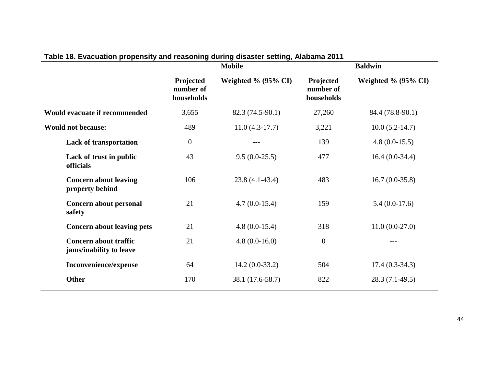|                                                         | <b>Mobile</b>                        |                        |                                      | <b>Baldwin</b>                 |
|---------------------------------------------------------|--------------------------------------|------------------------|--------------------------------------|--------------------------------|
|                                                         | Projected<br>number of<br>households | Weighted $\%$ (95% CI) | Projected<br>number of<br>households | Weighted % $(95\% \text{ CI})$ |
| Would evacuate if recommended                           | 3,655                                | 82.3 (74.5-90.1)       | 27,260                               | 84.4 (78.8-90.1)               |
| <b>Would not because:</b>                               | 489                                  | $11.0(4.3-17.7)$       | 3,221                                | $10.0 (5.2 - 14.7)$            |
| <b>Lack of transportation</b>                           | $\mathbf{0}$                         | ---                    | 139                                  | $4.8(0.0-15.5)$                |
| Lack of trust in public<br>officials                    | 43                                   | $9.5(0.0-25.5)$        | 477                                  | $16.4(0.0-34.4)$               |
| <b>Concern about leaving</b><br>property behind         | 106                                  | $23.8(4.1-43.4)$       | 483                                  | $16.7(0.0-35.8)$               |
| Concern about personal<br>safety                        | 21                                   | $4.7(0.0-15.4)$        | 159                                  | $5.4(0.0-17.6)$                |
| <b>Concern about leaving pets</b>                       | 21                                   | $4.8(0.0-15.4)$        | 318                                  | $11.0(0.0-27.0)$               |
| <b>Concern about traffic</b><br>jams/inability to leave | 21                                   | $4.8(0.0-16.0)$        | $\overline{0}$                       |                                |
| Inconvenience/expense                                   | 64                                   | $14.2(0.0-33.2)$       | 504                                  | $17.4(0.3-34.3)$               |
| <b>Other</b>                                            | 170                                  | 38.1 (17.6-58.7)       | 822                                  | $28.3(7.1-49.5)$               |

## **Table 18. Evacuation propensity and reasoning during disaster setting, Alabama 2011**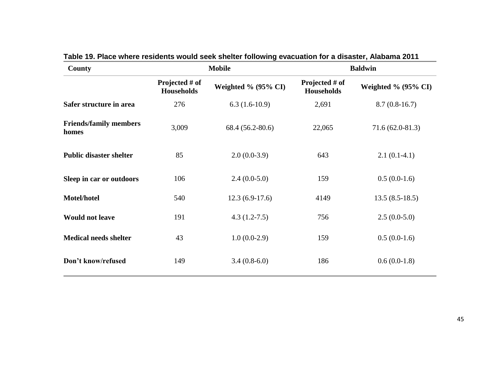| <b>County</b>                          |                                     | <b>Mobile</b>       | <b>Baldwin</b>                      |                                |  |
|----------------------------------------|-------------------------------------|---------------------|-------------------------------------|--------------------------------|--|
|                                        | Projected # of<br><b>Households</b> | Weighted % (95% CI) | Projected # of<br><b>Households</b> | Weighted % $(95\% \text{ CI})$ |  |
| Safer structure in area                | 276                                 | $6.3(1.6-10.9)$     | 2,691                               | $8.7(0.8-16.7)$                |  |
| <b>Friends/family members</b><br>homes | 3,009                               | 68.4 (56.2-80.6)    | 22,065                              | $71.6(62.0-81.3)$              |  |
| <b>Public disaster shelter</b>         | 85                                  | $2.0(0.0-3.9)$      | 643                                 | $2.1(0.1-4.1)$                 |  |
| Sleep in car or outdoors               | 106                                 | $2.4(0.0-5.0)$      | 159                                 | $0.5(0.0-1.6)$                 |  |
| Motel/hotel                            | 540                                 | $12.3(6.9-17.6)$    | 4149                                | $13.5(8.5-18.5)$               |  |
| <b>Would not leave</b>                 | 191                                 | $4.3(1.2 - 7.5)$    | 756                                 | $2.5(0.0-5.0)$                 |  |
| <b>Medical needs shelter</b>           | 43                                  | $1.0(0.0-2.9)$      | 159                                 | $0.5(0.0-1.6)$                 |  |
| Don't know/refused                     | 149                                 | $3.4(0.8-6.0)$      | 186                                 | $0.6(0.0-1.8)$                 |  |

**Table 19. Place where residents would seek shelter following evacuation for a disaster, Alabama 2011**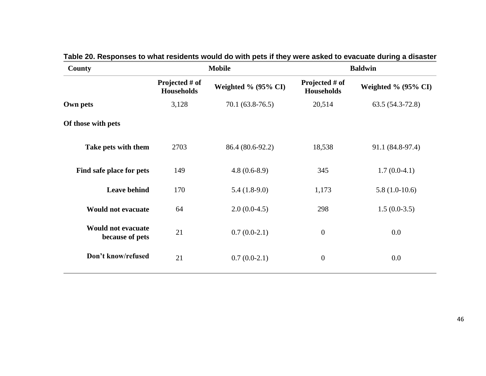| County                                       |                                     | <b>Mobile</b>       | <b>Baldwin</b>                      |                                |  |
|----------------------------------------------|-------------------------------------|---------------------|-------------------------------------|--------------------------------|--|
|                                              | Projected # of<br><b>Households</b> | Weighted % (95% CI) | Projected # of<br><b>Households</b> | Weighted % $(95\% \text{ CI})$ |  |
| Own pets                                     | 3,128                               | $70.1(63.8-76.5)$   | 20,514                              | $63.5(54.3-72.8)$              |  |
| Of those with pets                           |                                     |                     |                                     |                                |  |
| Take pets with them                          | 2703                                | 86.4 (80.6-92.2)    | 18,538                              | 91.1 (84.8-97.4)               |  |
| Find safe place for pets                     | 149                                 | $4.8(0.6-8.9)$      | 345                                 | $1.7(0.0-4.1)$                 |  |
| <b>Leave behind</b>                          | 170                                 | $5.4(1.8-9.0)$      | 1,173                               | $5.8(1.0-10.6)$                |  |
| <b>Would not evacuate</b>                    | 64                                  | $2.0(0.0-4.5)$      | 298                                 | $1.5(0.0-3.5)$                 |  |
| <b>Would not evacuate</b><br>because of pets | 21                                  | $0.7(0.0-2.1)$      | $\overline{0}$                      | 0.0                            |  |
| Don't know/refused                           | 21                                  | $0.7(0.0-2.1)$      | $\overline{0}$                      | 0.0                            |  |

## **Table 20. Responses to what residents would do with pets if they were asked to evacuate during a disaster**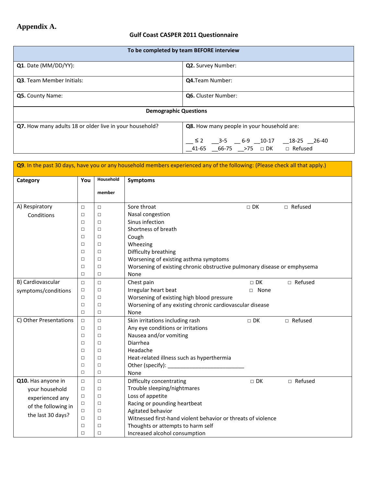## **Appendix A.**

## **Gulf Coast CASPER 2011 Questionnaire**

| To be completed by team BEFORE interview                |                                                                                                                               |  |  |  |  |
|---------------------------------------------------------|-------------------------------------------------------------------------------------------------------------------------------|--|--|--|--|
| Q1. Date (MM/DD/YY):                                    | Q2. Survey Number:                                                                                                            |  |  |  |  |
| <b>Q3.</b> Team Member Initials:                        | <b>Q4.</b> Team Number:                                                                                                       |  |  |  |  |
| Q5. County Name:<br><b>Q6.</b> Cluster Number:          |                                                                                                                               |  |  |  |  |
| <b>Demographic Questions</b>                            |                                                                                                                               |  |  |  |  |
| Q7. How many adults 18 or older live in your household? | Q8. How many people in your household are:                                                                                    |  |  |  |  |
|                                                         | __ ≤ 2      __3-5           6-9   __10-17       __18-25   __26-40<br>__41-65   __66-75    __>75    □  DK              Refused |  |  |  |  |

| Q9. In the past 30 days, have you or any household members experienced any of the following: (Please check all that apply.)                                                                           |                          |           |                                                                          |                 |           |
|-------------------------------------------------------------------------------------------------------------------------------------------------------------------------------------------------------|--------------------------|-----------|--------------------------------------------------------------------------|-----------------|-----------|
| Category                                                                                                                                                                                              | You                      | Household | <b>Symptoms</b>                                                          |                 |           |
|                                                                                                                                                                                                       |                          | member    |                                                                          |                 |           |
|                                                                                                                                                                                                       |                          |           |                                                                          |                 |           |
| A) Respiratory                                                                                                                                                                                        | $\Box$                   | $\Box$    | Sore throat                                                              | $\square$<br>DK | □ Refused |
| Conditions                                                                                                                                                                                            | □                        | □         | Nasal congestion                                                         |                 |           |
|                                                                                                                                                                                                       | П                        | $\Box$    | Sinus infection                                                          |                 |           |
|                                                                                                                                                                                                       | $\Box$                   | П         | Shortness of breath                                                      |                 |           |
|                                                                                                                                                                                                       | $\Box$                   | П         | Cough                                                                    |                 |           |
|                                                                                                                                                                                                       | □                        | □         | Wheezing                                                                 |                 |           |
|                                                                                                                                                                                                       | □                        | □         | Difficulty breathing                                                     |                 |           |
|                                                                                                                                                                                                       | □                        | $\Box$    | Worsening of existing asthma symptoms                                    |                 |           |
|                                                                                                                                                                                                       | П                        | $\Box$    | Worsening of existing chronic obstructive pulmonary disease or emphysema |                 |           |
|                                                                                                                                                                                                       | $\Box$                   | $\Box$    | None                                                                     |                 |           |
| B) Cardiovascular                                                                                                                                                                                     | $\Box$                   | $\Box$    | Chest pain                                                               | $\Box$ DK       | □ Refused |
| symptoms/conditions                                                                                                                                                                                   | □                        | $\Box$    | Irregular heart beat<br>□ None                                           |                 |           |
|                                                                                                                                                                                                       | $\Box$                   | □         | Worsening of existing high blood pressure                                |                 |           |
|                                                                                                                                                                                                       | $\Box$                   | □         | Worsening of any existing chronic cardiovascular disease                 |                 |           |
|                                                                                                                                                                                                       | $\Box$                   | □         | None                                                                     |                 |           |
| C) Other Presentations                                                                                                                                                                                | $\Box$                   | $\Box$    | Skin irritations including rash                                          | $\Box$ DK       | □ Refused |
|                                                                                                                                                                                                       | $\Box$                   | $\Box$    | Any eye conditions or irritations                                        |                 |           |
|                                                                                                                                                                                                       | $\Box$                   | □         | Nausea and/or vomiting                                                   |                 |           |
|                                                                                                                                                                                                       | $\Box$                   | □         | Diarrhea                                                                 |                 |           |
|                                                                                                                                                                                                       | $\Box$                   | $\Box$    | Headache                                                                 |                 |           |
|                                                                                                                                                                                                       | $\Box$                   | $\Box$    | Heat-related illness such as hyperthermia                                |                 |           |
|                                                                                                                                                                                                       | $\Box$                   | $\Box$    |                                                                          |                 |           |
|                                                                                                                                                                                                       | $\Box$<br>$\Box$<br>None |           |                                                                          |                 |           |
| Q10. Has anyone in                                                                                                                                                                                    | $\Box$                   | $\Box$    | Difficulty concentrating<br>$\Box$ DK                                    |                 | □ Refused |
| your household                                                                                                                                                                                        | $\Box$                   | $\Box$    | Trouble sleeping/nightmares                                              |                 |           |
| experienced any                                                                                                                                                                                       | $\Box$                   | $\Box$    | Loss of appetite                                                         |                 |           |
| Racing or pounding heartbeat<br>$\Box$<br>□<br>of the following in<br>Agitated behavior<br>□<br>□<br>the last 30 days?<br>Witnessed first-hand violent behavior or threats of violence<br>$\Box$<br>□ |                          |           |                                                                          |                 |           |
|                                                                                                                                                                                                       |                          |           |                                                                          |                 |           |
|                                                                                                                                                                                                       |                          |           |                                                                          |                 |           |
|                                                                                                                                                                                                       | □                        | □         | Thoughts or attempts to harm self                                        |                 |           |
|                                                                                                                                                                                                       | $\Box$                   | □         | Increased alcohol consumption                                            |                 |           |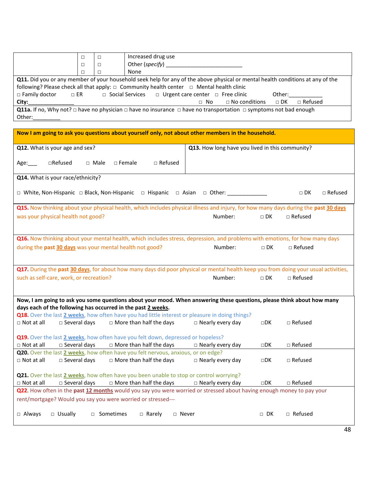|                                                                                                                                                                                                                                                                                                                                        |                                                                                                                                | □ | Increased drug use                          |  |  |  |
|----------------------------------------------------------------------------------------------------------------------------------------------------------------------------------------------------------------------------------------------------------------------------------------------------------------------------------------|--------------------------------------------------------------------------------------------------------------------------------|---|---------------------------------------------|--|--|--|
|                                                                                                                                                                                                                                                                                                                                        |                                                                                                                                |   | Other (specify)                             |  |  |  |
|                                                                                                                                                                                                                                                                                                                                        |                                                                                                                                |   | None                                        |  |  |  |
|                                                                                                                                                                                                                                                                                                                                        | Q11. Did you or any member of your household seek help for any of the above physical or mental health conditions at any of the |   |                                             |  |  |  |
| following? Please check all that apply: $\Box$ Community health center $\Box$ Mental health clinic                                                                                                                                                                                                                                     |                                                                                                                                |   |                                             |  |  |  |
| $\Box$ Family doctor $\Box$ ER<br>$\Box$ Social Services $\Box$ Urgent care center $\Box$ Free clinic<br>Other: when the control of the control of the control of the control of the control of the control of the control of the control of the control of the control of the control of the control of the control of the control of |                                                                                                                                |   |                                             |  |  |  |
| City:                                                                                                                                                                                                                                                                                                                                  |                                                                                                                                |   | □ No conditions □ DK □ Refused<br>$\Box$ No |  |  |  |
| <b>Q11a.</b> If no, Why not? $\Box$ have no physician $\Box$ have no insurance $\Box$ have no transportation $\Box$ symptoms not bad enough                                                                                                                                                                                            |                                                                                                                                |   |                                             |  |  |  |
| Other:                                                                                                                                                                                                                                                                                                                                 |                                                                                                                                |   |                                             |  |  |  |

| Now I am going to ask you questions about yourself only, not about other members in the household.                                  |                                                 |              |                             |  |  |  |
|-------------------------------------------------------------------------------------------------------------------------------------|-------------------------------------------------|--------------|-----------------------------|--|--|--|
| Q12. What is your age and sex?                                                                                                      | Q13. How long have you lived in this community? |              |                             |  |  |  |
| □Refused<br>$\Box$ Female<br>□ Refused<br>□ Male<br>Age:                                                                            |                                                 |              |                             |  |  |  |
| Q14. What is your race/ethnicity?                                                                                                   |                                                 |              |                             |  |  |  |
| $\Box$ White, Non-Hispanic $\Box$ Black, Non-Hispanic $\Box$ Hispanic $\Box$ Asian $\Box$ Other:                                    |                                                 |              | $\Box$ DK<br>$\Box$ Refused |  |  |  |
| Q15. Now thinking about your physical health, which includes physical illness and injury, for how many days during the past 30 days |                                                 |              |                             |  |  |  |
| was your physical health not good?                                                                                                  | Number:                                         | $\Box$ DK    | $\Box$ Refused              |  |  |  |
|                                                                                                                                     |                                                 |              |                             |  |  |  |
| Q16. Now thinking about your mental health, which includes stress, depression, and problems with emotions, for how many days        |                                                 |              |                             |  |  |  |
| during the past 30 days was your mental health not good?                                                                            | Number:                                         | $\square$ DK | $\Box$ Refused              |  |  |  |
|                                                                                                                                     |                                                 |              |                             |  |  |  |
| Q17. During the past 30 days, for about how many days did poor physical or mental health keep you from doing your usual activities, |                                                 |              |                             |  |  |  |
| such as self-care, work, or recreation?                                                                                             | Number:                                         | $\Box$ DK    | $\Box$ Refused              |  |  |  |
|                                                                                                                                     |                                                 |              |                             |  |  |  |
| Now, I am going to ask you some questions about your mood. When answering these questions, please think about how many              |                                                 |              |                             |  |  |  |
| days each of the following has occurred in the past 2 weeks.                                                                        |                                                 |              |                             |  |  |  |
| Q18. Over the last 2 weeks, how often have you had little interest or pleasure in doing things?                                     |                                                 |              |                             |  |  |  |
| $\Box$ Not at all<br>$\square$ Several days<br>$\Box$ More than half the days                                                       | $\Box$ Nearly every day                         | $\square$ DK | $\Box$ Refused              |  |  |  |
| Q19. Over the last 2 weeks, how often have you felt down, depressed or hopeless?                                                    |                                                 |              |                             |  |  |  |
| $\Box$ Not at all<br>$\square$ Several days<br>$\Box$ More than half the days                                                       | $\Box$ Nearly every day                         | $\square$ DK | □ Refused                   |  |  |  |
| Q20. Over the last 2 weeks, how often have you felt nervous, anxious, or on edge?                                                   |                                                 |              |                             |  |  |  |
| $\Box$ Not at all<br>$\square$ Several days<br>$\Box$ More than half the days                                                       | $\Box$ Nearly every day                         | $\square$ DK | $\Box$ Refused              |  |  |  |
| Q21. Over the last 2 weeks, how often have you been unable to stop or control worrying?                                             |                                                 |              |                             |  |  |  |
| $\Box$ Not at all<br>$\square$ Several days<br>$\Box$ More than half the days                                                       | $\Box$ Nearly every day                         | $\square$    | □ Refused                   |  |  |  |
| Q22. How often in the past 12 months would you say you were worried or stressed about having enough money to pay your               |                                                 |              |                             |  |  |  |
| rent/mortgage? Would you say you were worried or stressed---                                                                        |                                                 |              |                             |  |  |  |
| □ Sometimes                                                                                                                         |                                                 | $\Box$ DK    | □ Refused                   |  |  |  |
| $\Box$ Always<br>□ Usually<br>$\Box$ Rarely<br>$\Box$ Never                                                                         |                                                 |              |                             |  |  |  |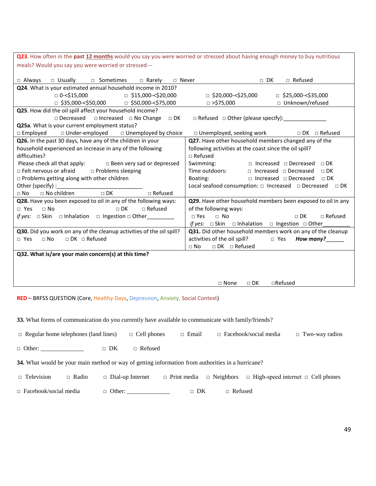**Q23**. How often in the **past 12 months** would you say you were worried or stressed about having enough money to buy nutritious meals? Would you say you were worried or stressed---

| □ Always □ Usually □ Sometimes □ Rarely □ Never                            | □ Refused<br>$\Box$ DK                                                                                                                                                                                                                                                        |  |  |  |  |
|----------------------------------------------------------------------------|-------------------------------------------------------------------------------------------------------------------------------------------------------------------------------------------------------------------------------------------------------------------------------|--|--|--|--|
| Q24. What is your estimated annual household income in 2010?               |                                                                                                                                                                                                                                                                               |  |  |  |  |
| □ 0-<\$15,000<br>$\Box$ \$15,000-<\$20,000                                 | $\Box$ \$20,000-<\$25,000<br>$\Box$ \$25,000-<\$35,000                                                                                                                                                                                                                        |  |  |  |  |
| $\Box$ \$35,000-<\$50,000 $\Box$ \$50,000-<\$75,000                        | □ Unknown/refused<br>□ >\$75,000                                                                                                                                                                                                                                              |  |  |  |  |
| Q25. How did the oil spill affect your household income?                   |                                                                                                                                                                                                                                                                               |  |  |  |  |
| $\Box$ Decreased $\Box$ Increased $\Box$ No Change $\Box$ DK               | □ Refused □ Other (please specify): _______________                                                                                                                                                                                                                           |  |  |  |  |
| Q25a. What is your current employment status?                              |                                                                                                                                                                                                                                                                               |  |  |  |  |
| $\Box$ Under-employed $\Box$ Unemployed by choice<br>$\Box$ Employed       | □ Unemployed, seeking work  DK □ Refused                                                                                                                                                                                                                                      |  |  |  |  |
| Q26. In the past 30 days, have any of the children in your                 | Q27. Have other household members changed any of the                                                                                                                                                                                                                          |  |  |  |  |
| household experienced an increase in any of the following                  | following activities at the coast since the oil spill?                                                                                                                                                                                                                        |  |  |  |  |
| difficulties?                                                              | $\Box$ Refused                                                                                                                                                                                                                                                                |  |  |  |  |
| Please check all that apply: $\Box$ Been very sad or depressed             | Swimming: □ Increased □ Decreased □ DK                                                                                                                                                                                                                                        |  |  |  |  |
| □ Felt nervous or afraid<br>$\Box$ Problems sleeping                       | Time outdoors: □ Increased □ Decreased<br>$\Box$ DK                                                                                                                                                                                                                           |  |  |  |  |
| $\Box$ Problems getting along with other children                          | $\Box$ Increased $\Box$ Decreased $\Box$ DK<br>Boating: the control of the control of the control of the control of the control of the control of the control of the control of the control of the control of the control of the control of the control of the control of the |  |  |  |  |
|                                                                            | Local seafood consumption: □ Increased □ Decreased<br>$\Box$ DK                                                                                                                                                                                                               |  |  |  |  |
| $\Box$ No children $\Box$ DK<br>$\Box$ Refused<br>$\Box$ No                |                                                                                                                                                                                                                                                                               |  |  |  |  |
| Q28. Have you been exposed to oil in any of the following ways:            | Q29. Have other household members been exposed to oil in any                                                                                                                                                                                                                  |  |  |  |  |
| $\Box$ No<br>$\Box$ Refused<br>□ Yes<br>$\Box$ DK                          | of the following ways:                                                                                                                                                                                                                                                        |  |  |  |  |
| <i>if yes:</i> $\Box$ Skin $\Box$ Inhalation $\Box$ Ingestion $\Box$ Other | $\Box$ Refused<br>$\Box$ Yes<br>$\Box$ No<br>$\sqcap$ DK                                                                                                                                                                                                                      |  |  |  |  |
|                                                                            | <i>if yes:</i> $\Box$ Skin $\Box$ Inhalation $\Box$ Ingestion $\Box$ Other                                                                                                                                                                                                    |  |  |  |  |
| Q30. Did you work on any of the cleanup activities of the oil spill?       | Q31. Did other household members work on any of the cleanup                                                                                                                                                                                                                   |  |  |  |  |
| $\Box$ DK $\Box$ Refused<br>$\Box$ No<br>□ Yes                             | activities of the oil spill?<br>How many?<br>$\Box$ Yes                                                                                                                                                                                                                       |  |  |  |  |
|                                                                            | $\Box$ DK $\Box$ Refused<br>$\Box$ No                                                                                                                                                                                                                                         |  |  |  |  |
| Q32. What is/are your main concern(s) at this time?                        |                                                                                                                                                                                                                                                                               |  |  |  |  |
|                                                                            |                                                                                                                                                                                                                                                                               |  |  |  |  |
|                                                                            |                                                                                                                                                                                                                                                                               |  |  |  |  |
|                                                                            |                                                                                                                                                                                                                                                                               |  |  |  |  |
|                                                                            | $\Box$ Refused<br>$\Box$ None<br>$\sqcap$ DK                                                                                                                                                                                                                                  |  |  |  |  |

**RED** – BRFSS QUESTION (Core, Healthy Days, Depression, Anxiety, Social Context)

**33.** What forms of communication do you currently have available to communicate with family/friends?

□ Regular home telephones (land lines) □ Cell phones □ Email □ Facebook/social media □ Two-way radios

□ Other: □ DK □ Refused

**34.** What would be your main method or way of getting information from authorities in a hurricane?

□ Television □ Radio □ Dial-up Internet □ Print media □ Neighbors □ High-speed internet □ Cell phones

□ Facebook/social media □ Other: \_\_\_\_\_\_\_\_\_\_\_\_\_\_ □ DK □ Refused